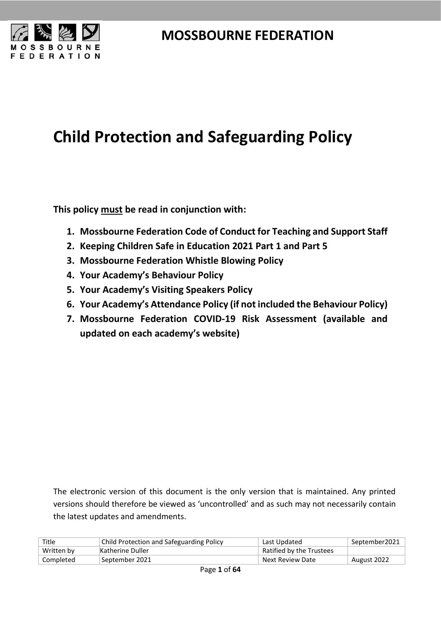



# **Child Protection and Safeguarding Policy**

**This policy must be read in conjunction with:**

- **1. Mossbourne Federation Code of Conduct for Teaching and Support Staff**
- **2. Keeping Children Safe in Education 2021 Part 1 and Part 5**
- **3. Mossbourne Federation Whistle Blowing Policy**
- **4. Your Academy's Behaviour Policy**
- **5. Your Academy's Visiting Speakers Policy**
- **6. Your Academy's Attendance Policy (if not included the Behaviour Policy)**
- **7. Mossbourne Federation COVID-19 Risk Assessment (available and updated on each academy's website)**

The electronic version of this document is the only version that is maintained. Any printed versions should therefore be viewed as 'uncontrolled' and as such may not necessarily contain the latest updates and amendments.

| Title      | Child Protection and Safeguarding Policy | Last Updated             | September2021 |
|------------|------------------------------------------|--------------------------|---------------|
| Written by | Katherine Duller                         | Ratified by the Trustees |               |
| Completed  | September 2021                           | Next Review Date         | August 2022   |
|            |                                          |                          |               |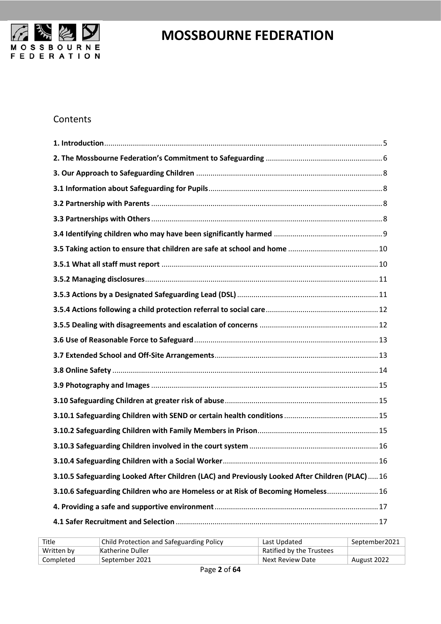

#### Contents

| 3.10.5 Safeguarding Looked After Children (LAC) and Previously Looked After Children (PLAC)16 |
|-----------------------------------------------------------------------------------------------|
| 3.10.6 Safeguarding Children who are Homeless or at Risk of Becoming Homeless 16              |
|                                                                                               |
|                                                                                               |

| Title      | Child Protection and Safeguarding Policy | Last Updated             | September2021 |
|------------|------------------------------------------|--------------------------|---------------|
| Written by | Katherine Duller                         | Ratified by the Trustees |               |
| Completed  | September 2021                           | Next Review Date         | August 2022   |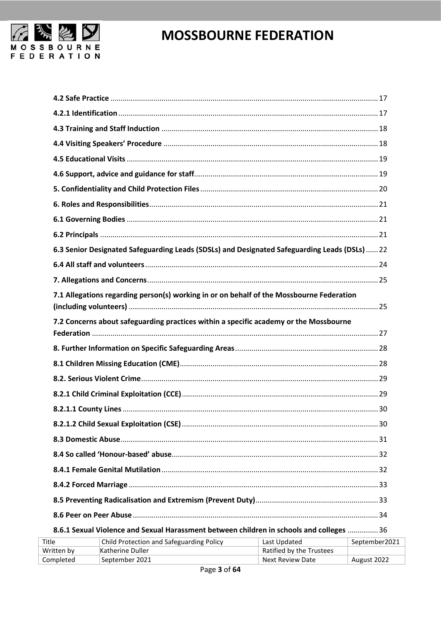

| 6.3 Senior Designated Safeguarding Leads (SDSLs) and Designated Safeguarding Leads (DSLs)  22 |               |
|-----------------------------------------------------------------------------------------------|---------------|
|                                                                                               |               |
|                                                                                               |               |
| 7.1 Allegations regarding person(s) working in or on behalf of the Mossbourne Federation      |               |
| 7.2 Concerns about safeguarding practices within a specific academy or the Mossbourne         |               |
|                                                                                               |               |
|                                                                                               |               |
|                                                                                               |               |
|                                                                                               |               |
|                                                                                               |               |
|                                                                                               | 30            |
|                                                                                               |               |
|                                                                                               |               |
|                                                                                               |               |
|                                                                                               |               |
|                                                                                               |               |
|                                                                                               |               |
| 8.6.1 Sexual Violence and Sexual Harassment between children in schools and colleges  36      |               |
| Child Protection and Safeguarding Policy [ast Undated<br>۱۵                                   | Sentember2021 |

| Title      | Child Protection and Safeguarding Policy | Last Updated             | September2021 |
|------------|------------------------------------------|--------------------------|---------------|
| Written by | Katherine Duller                         | Ratified by the Trustees |               |
| Completed  | September 2021                           | Next Review Date         | August 2022   |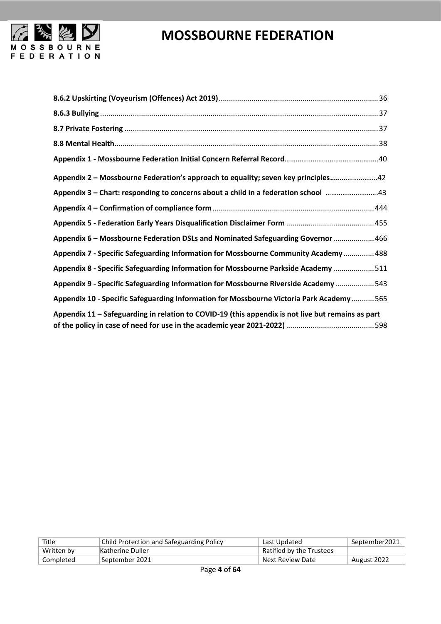

| Appendix 2 - Mossbourne Federation's approach to equality; seven key principles42                 |
|---------------------------------------------------------------------------------------------------|
|                                                                                                   |
|                                                                                                   |
|                                                                                                   |
| Appendix 6 - Mossbourne Federation DSLs and Nominated Safeguarding Governor  466                  |
| Appendix 7 - Specific Safeguarding Information for Mossbourne Community Academy  488              |
| Appendix 8 - Specific Safeguarding Information for Mossbourne Parkside Academy511                 |
| Appendix 9 - Specific Safeguarding Information for Mossbourne Riverside Academy 543               |
| Appendix 10 - Specific Safeguarding Information for Mossbourne Victoria Park Academy  565         |
| Appendix 11 - Safeguarding in relation to COVID-19 (this appendix is not live but remains as part |
|                                                                                                   |

| Title      | <b>Child Protection and Safeguarding Policy</b> | Last Updated             | September2021 |
|------------|-------------------------------------------------|--------------------------|---------------|
| Written by | Katherine Duller                                | Ratified by the Trustees |               |
| Completed  | September 2021                                  | Next Review Date         | August 2022   |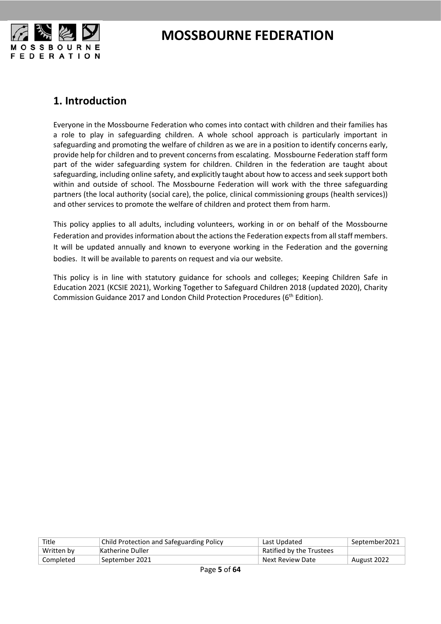

### <span id="page-4-0"></span>**1. Introduction**

Everyone in the Mossbourne Federation who comes into contact with children and their families has a role to play in safeguarding children. A whole school approach is particularly important in safeguarding and promoting the welfare of children as we are in a position to identify concerns early, provide help for children and to prevent concerns from escalating. Mossbourne Federation staff form part of the wider safeguarding system for children. Children in the federation are taught about safeguarding, including online safety, and explicitly taught about how to access and seek support both within and outside of school. The Mossbourne Federation will work with the three safeguarding partners (the local authority (social care), the police, clinical commissioning groups (health services)) and other services to promote the welfare of children and protect them from harm.

This policy applies to all adults, including volunteers, working in or on behalf of the Mossbourne Federation and provides information about the actions the Federation expects from all staff members. It will be updated annually and known to everyone working in the Federation and the governing bodies. It will be available to parents on request and via our website.

This policy is in line with statutory guidance for schools and colleges; Keeping Children Safe in Education 2021 (KCSIE 2021), Working Together to Safeguard Children 2018 (updated 2020), Charity Commission Guidance 2017 and London Child Protection Procedures (6<sup>th</sup> Edition).

| Title      | <b>Child Protection and Safeguarding Policy</b> | Last Updated             | September2021 |
|------------|-------------------------------------------------|--------------------------|---------------|
| Written by | Katherine Duller                                | Ratified by the Trustees |               |
| Completed  | September 2021                                  | Next Review Date         | August 2022   |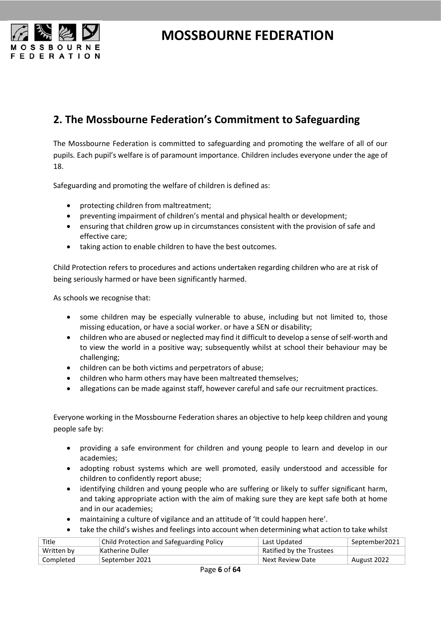

### <span id="page-5-0"></span>**2. The Mossbourne Federation's Commitment to Safeguarding**

The Mossbourne Federation is committed to safeguarding and promoting the welfare of all of our pupils*.* Each pupil's welfare is of paramount importance. Children includes everyone under the age of 18.

Safeguarding and promoting the welfare of children is defined as:

- protecting children from maltreatment;
- preventing impairment of children's mental and physical health or development;
- ensuring that children grow up in circumstances consistent with the provision of safe and effective care;
- taking action to enable children to have the best outcomes.

Child Protection refers to procedures and actions undertaken regarding children who are at risk of being seriously harmed or have been significantly harmed.

As schools we recognise that:

- some children may be especially vulnerable to abuse, including but not limited to, those missing education, or have a social worker. or have a SEN or disability;
- children who are abused or neglected may find it difficult to develop a sense of self-worth and to view the world in a positive way; subsequently whilst at school their behaviour may be challenging;
- children can be both victims and perpetrators of abuse;
- children who harm others may have been maltreated themselves;
- allegations can be made against staff, however careful and safe our recruitment practices.

Everyone working in the Mossbourne Federation shares an objective to help keep children and young people safe by:

- providing a safe environment for children and young people to learn and develop in our academies;
- adopting robust systems which are well promoted, easily understood and accessible for children to confidently report abuse;
- identifying children and young people who are suffering or likely to suffer significant harm, and taking appropriate action with the aim of making sure they are kept safe both at home and in our academies;
- maintaining a culture of vigilance and an attitude of 'It could happen here'.
- take the child's wishes and feelings into account when determining what action to take whilst

| Title      | <b>Child Protection and Safeguarding Policy</b> | Last Updated             | September2021 |
|------------|-------------------------------------------------|--------------------------|---------------|
| Written by | Katherine Duller                                | Ratified by the Trustees |               |
| Completed  | September 2021                                  | Next Review Date         | August 2022   |
|            |                                                 |                          |               |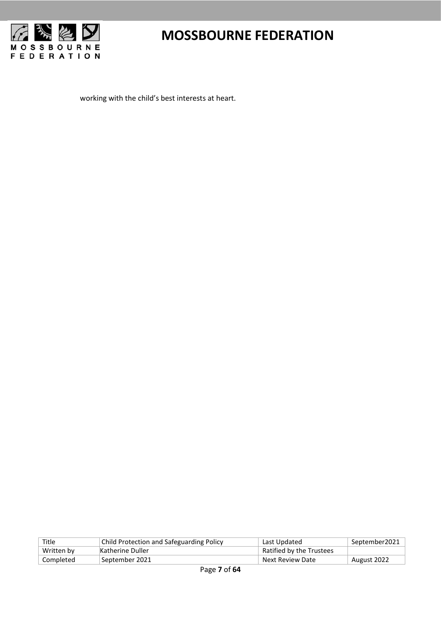

working with the child's best interests at heart.

| Title      | <b>Child Protection and Safeguarding Policy</b> | Last Updated             | September2021 |
|------------|-------------------------------------------------|--------------------------|---------------|
| Written by | Katherine Duller                                | Ratified by the Trustees |               |
| Completed  | †September 2021                                 | Next Review Date         | August 2022   |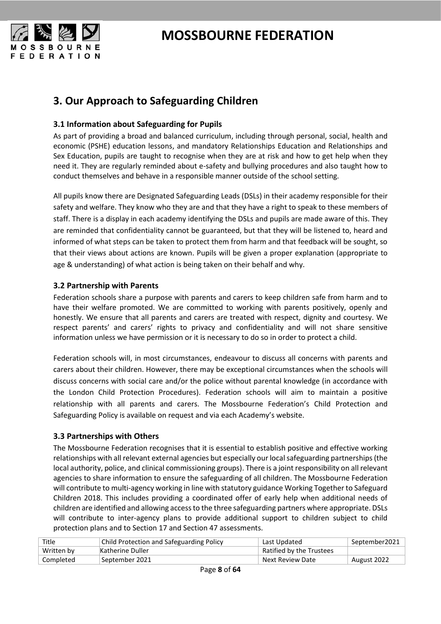

### <span id="page-7-0"></span>**3. Our Approach to Safeguarding Children**

#### <span id="page-7-1"></span>**3.1 Information about Safeguarding for Pupils**

As part of providing a broad and balanced curriculum, including through personal, social, health and economic (PSHE) education lessons, and mandatory Relationships Education and Relationships and Sex Education, pupils are taught to recognise when they are at risk and how to get help when they need it. They are regularly reminded about e-safety and bullying procedures and also taught how to conduct themselves and behave in a responsible manner outside of the school setting.

All pupils know there are Designated Safeguarding Leads (DSLs) in their academy responsible for their safety and welfare. They know who they are and that they have a right to speak to these members of staff. There is a display in each academy identifying the DSLs and pupils are made aware of this. They are reminded that confidentiality cannot be guaranteed, but that they will be listened to, heard and informed of what steps can be taken to protect them from harm and that feedback will be sought, so that their views about actions are known. Pupils will be given a proper explanation (appropriate to age & understanding) of what action is being taken on their behalf and why.

#### <span id="page-7-2"></span>**3.2 Partnership with Parents**

Federation schools share a purpose with parents and carers to keep children safe from harm and to have their welfare promoted. We are committed to working with parents positively, openly and honestly. We ensure that all parents and carers are treated with respect, dignity and courtesy. We respect parents' and carers' rights to privacy and confidentiality and will not share sensitive information unless we have permission or it is necessary to do so in order to protect a child.

Federation schools will, in most circumstances, endeavour to discuss all concerns with parents and carers about their children. However, there may be exceptional circumstances when the schools will discuss concerns with social care and/or the police without parental knowledge (in accordance with the London Child Protection Procedures). Federation schools will aim to maintain a positive relationship with all parents and carers. The Mossbourne Federation's Child Protection and Safeguarding Policy is available on request and via each Academy's website.

#### <span id="page-7-3"></span>**3.3 Partnerships with Others**

The Mossbourne Federation recognises that it is essential to establish positive and effective working relationships with all relevant external agencies but especially our local safeguarding partnerships (the local authority, police, and clinical commissioning groups). There is a joint responsibility on all relevant agencies to share information to ensure the safeguarding of all children. The Mossbourne Federation will contribute to multi-agency working in line with statutory guidance Working Together to Safeguard Children 2018. This includes providing a coordinated offer of early help when additional needs of children are identified and allowing access to the three safeguarding partners where appropriate. DSLs will contribute to inter-agency plans to provide additional support to children subject to child protection plans and to Section 17 and Section 47 assessments.

| Title      | Child Protection and Safeguarding Policy | Last Updated             | September2021 |
|------------|------------------------------------------|--------------------------|---------------|
| Written by | Katherine Duller                         | Ratified by the Trustees |               |
| Completed  | September 2021                           | Next Review Date         | August 2022   |
|            |                                          |                          |               |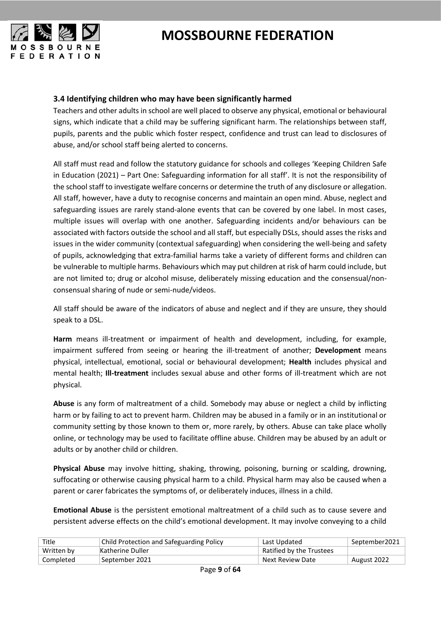

#### <span id="page-8-0"></span>**3.4 Identifying children who may have been significantly harmed**

Teachers and other adults in school are well placed to observe any physical, emotional or behavioural signs, which indicate that a child may be suffering significant harm. The relationships between staff, pupils, parents and the public which foster respect, confidence and trust can lead to disclosures of abuse, and/or school staff being alerted to concerns.

All staff must read and follow the statutory guidance for schools and colleges 'Keeping Children Safe in Education (2021) – Part One: Safeguarding information for all staff'. It is not the responsibility of the school staff to investigate welfare concerns or determine the truth of any disclosure or allegation. All staff, however, have a duty to recognise concerns and maintain an open mind. Abuse, neglect and safeguarding issues are rarely stand-alone events that can be covered by one label. In most cases, multiple issues will overlap with one another. Safeguarding incidents and/or behaviours can be associated with factors outside the school and all staff, but especially DSLs, should asses the risks and issues in the wider community (contextual safeguarding) when considering the well-being and safety of pupils, acknowledging that extra-familial harms take a variety of different forms and children can be vulnerable to multiple harms. Behaviours which may put children at risk of harm could include, but are not limited to; drug or alcohol misuse, deliberately missing education and the consensual/nonconsensual sharing of nude or semi-nude/videos.

All staff should be aware of the indicators of abuse and neglect and if they are unsure, they should speak to a DSL.

**Harm** means ill-treatment or impairment of health and development, including, for example, impairment suffered from seeing or hearing the ill-treatment of another; **Development** means physical, intellectual, emotional, social or behavioural development; **Health** includes physical and mental health; **Ill-treatment** includes sexual abuse and other forms of ill-treatment which are not physical.

**Abuse** is any form of maltreatment of a child. Somebody may abuse or neglect a child by inflicting harm or by failing to act to prevent harm. Children may be abused in a family or in an institutional or community setting by those known to them or, more rarely, by others. Abuse can take place wholly online, or technology may be used to facilitate offline abuse. Children may be abused by an adult or adults or by another child or children.

**Physical Abuse** may involve hitting, shaking, throwing, poisoning, burning or scalding, drowning, suffocating or otherwise causing physical harm to a child. Physical harm may also be caused when a parent or carer fabricates the symptoms of, or deliberately induces, illness in a child.

**Emotional Abuse** is the persistent emotional maltreatment of a child such as to cause severe and persistent adverse effects on the child's emotional development. It may involve conveying to a child

| Title      | Child Protection and Safeguarding Policy | Last Updated             | September2021 |
|------------|------------------------------------------|--------------------------|---------------|
| Written by | Katherine Duller                         | Ratified by the Trustees |               |
| Completed  | September 2021                           | Next Review Date         | August 2022   |
|            |                                          |                          |               |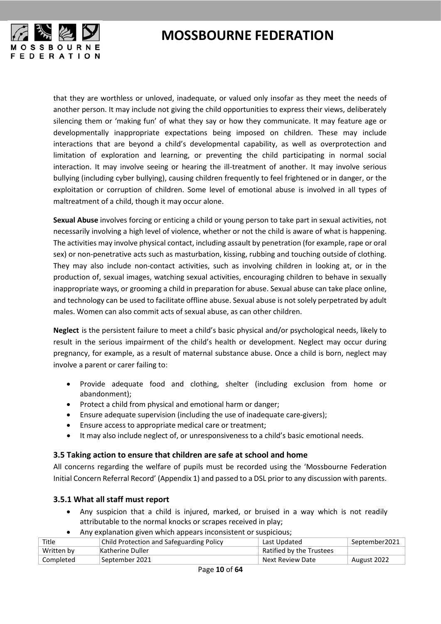

that they are worthless or unloved, inadequate, or valued only insofar as they meet the needs of another person. It may include not giving the child opportunities to express their views, deliberately silencing them or 'making fun' of what they say or how they communicate. It may feature age or developmentally inappropriate expectations being imposed on children. These may include interactions that are beyond a child's developmental capability, as well as overprotection and limitation of exploration and learning, or preventing the child participating in normal social interaction. It may involve seeing or hearing the ill-treatment of another. It may involve serious bullying (including cyber bullying), causing children frequently to feel frightened or in danger, or the exploitation or corruption of children. Some level of emotional abuse is involved in all types of maltreatment of a child, though it may occur alone.

**Sexual Abuse** involves forcing or enticing a child or young person to take part in sexual activities, not necessarily involving a high level of violence, whether or not the child is aware of what is happening. The activities may involve physical contact, including assault by penetration (for example, rape or oral sex) or non-penetrative acts such as masturbation, kissing, rubbing and touching outside of clothing. They may also include non-contact activities, such as involving children in looking at, or in the production of, sexual images, watching sexual activities, encouraging children to behave in sexually inappropriate ways, or grooming a child in preparation for abuse. Sexual abuse can take place online, and technology can be used to facilitate offline abuse. Sexual abuse is not solely perpetrated by adult males. Women can also commit acts of sexual abuse, as can other children.

 **Neglect** is the persistent failure to meet a child's basic physical and/or psychological needs, likely to result in the serious impairment of the child's health or development. Neglect may occur during pregnancy, for example, as a result of maternal substance abuse. Once a child is born, neglect may involve a parent or carer failing to:

- Provide adequate food and clothing, shelter (including exclusion from home or abandonment);
- Protect a child from physical and emotional harm or danger;
- Ensure adequate supervision (including the use of inadequate care-givers);
- Ensure access to appropriate medical care or treatment;
- It may also include neglect of, or unresponsiveness to a child's basic emotional needs.

#### <span id="page-9-0"></span>**3.5 Taking action to ensure that children are safe at school and home**

All concerns regarding the welfare of pupils must be recorded using the 'Mossbourne Federation Initial Concern Referral Record' (Appendix 1) and passed to a DSL prior to any discussion with parents.

#### <span id="page-9-1"></span>**3.5.1 What all staff must report**

- Any suspicion that a child is injured, marked, or bruised in a way which is not readily attributable to the normal knocks or scrapes received in play;
- Any explanation given which appears inconsistent or suspicious;

| Title      | <b>Child Protection and Safeguarding Policy</b> | Last Updated             | September2021 |
|------------|-------------------------------------------------|--------------------------|---------------|
| Written by | Katherine Duller                                | Ratified by the Trustees |               |
| Completed  | September 2021                                  | Next Review Date         | August 2022   |
|            |                                                 |                          |               |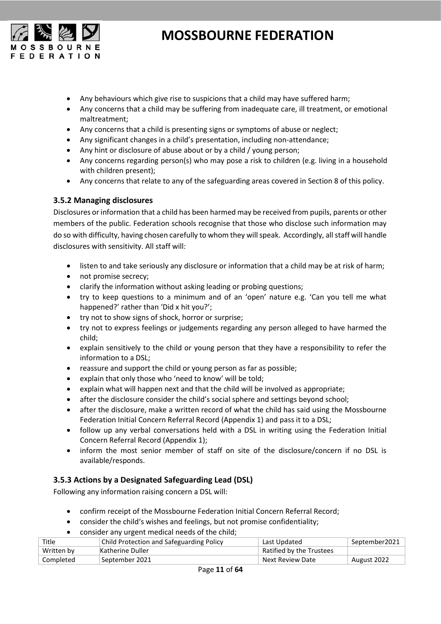

- Any behaviours which give rise to suspicions that a child may have suffered harm;
- Any concerns that a child may be suffering from inadequate care, ill treatment, or emotional maltreatment;
- Any concerns that a child is presenting signs or symptoms of abuse or neglect;
- Any significant changes in a child's presentation, including non-attendance;
- Any hint or disclosure of abuse about or by a child / young person;
- Any concerns regarding person(s) who may pose a risk to children (e.g. living in a household with children present);
- Any concerns that relate to any of the safeguarding areas covered in Section 8 of this policy.

#### <span id="page-10-0"></span>**3.5.2 Managing disclosures**

Disclosures or information that a child has been harmed may be received from pupils, parents or other members of the public. Federation schools recognise that those who disclose such information may do so with difficulty, having chosen carefully to whom they will speak. Accordingly, all staff will handle disclosures with sensitivity. All staff will:

- listen to and take seriously any disclosure or information that a child may be at risk of harm;
- not promise secrecy;
- clarify the information without asking leading or probing questions;
- try to keep questions to a minimum and of an 'open' nature e.g. 'Can you tell me what happened?' rather than 'Did x hit you?';
- try not to show signs of shock, horror or surprise;
- try not to express feelings or judgements regarding any person alleged to have harmed the child;
- explain sensitively to the child or young person that they have a responsibility to refer the information to a DSL;
- reassure and support the child or young person as far as possible;
- explain that only those who 'need to know' will be told;
- explain what will happen next and that the child will be involved as appropriate;
- after the disclosure consider the child's social sphere and settings beyond school;
- after the disclosure, make a written record of what the child has said using the Mossbourne Federation Initial Concern Referral Record (Appendix 1) and pass it to a DSL;
- follow up any verbal conversations held with a DSL in writing using the Federation Initial Concern Referral Record (Appendix 1);
- inform the most senior member of staff on site of the disclosure/concern if no DSL is available/responds.

#### <span id="page-10-1"></span>**3.5.3 Actions by a Designated Safeguarding Lead (DSL)**

Following any information raising concern a DSL will:

- confirm receipt of the Mossbourne Federation Initial Concern Referral Record;
- consider the child's wishes and feelings, but not promise confidentiality;
- consider any urgent medical needs of the child;

| Title      | Child Protection and Safeguarding Policy | Last Updated             | September2021 |
|------------|------------------------------------------|--------------------------|---------------|
| Written by | Katherine Duller                         | Ratified by the Trustees |               |
| Completed  | September 2021                           | Next Review Date         | August 2022   |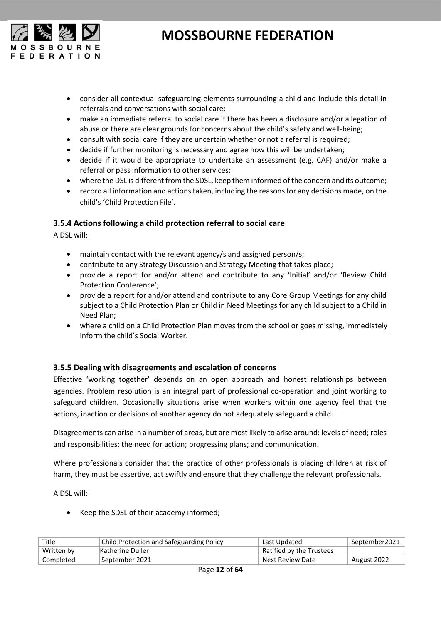

- consider all contextual safeguarding elements surrounding a child and include this detail in referrals and conversations with social care;
- make an immediate referral to social care if there has been a disclosure and/or allegation of abuse or there are clear grounds for concerns about the child's safety and well-being;
- consult with social care if they are uncertain whether or not a referral is required;
- decide if further monitoring is necessary and agree how this will be undertaken;
- decide if it would be appropriate to undertake an assessment (e.g. CAF) and/or make a referral or pass information to other services;
- where the DSL is different from the SDSL, keep them informed of the concern and its outcome;
- record all information and actions taken, including the reasons for any decisions made, on the child's 'Child Protection File'.

#### <span id="page-11-0"></span>**3.5.4 Actions following a child protection referral to social care**

A DSL will:

- maintain contact with the relevant agency/s and assigned person/s;
- contribute to any Strategy Discussion and Strategy Meeting that takes place;
- provide a report for and/or attend and contribute to any 'Initial' and/or 'Review Child Protection Conference';
- provide a report for and/or attend and contribute to any Core Group Meetings for any child subject to a Child Protection Plan or Child in Need Meetings for any child subject to a Child in Need Plan;
- where a child on a Child Protection Plan moves from the school or goes missing, immediately inform the child's Social Worker.

#### <span id="page-11-1"></span>**3.5.5 Dealing with disagreements and escalation of concerns**

Effective 'working together' depends on an open approach and honest relationships between agencies. Problem resolution is an integral part of professional co-operation and joint working to safeguard children. Occasionally situations arise when workers within one agency feel that the actions, inaction or decisions of another agency do not adequately safeguard a child.

Disagreements can arise in a number of areas, but are most likely to arise around: levels of need; roles and responsibilities; the need for action; progressing plans; and communication.

Where professionals consider that the practice of other professionals is placing children at risk of harm, they must be assertive, act swiftly and ensure that they challenge the relevant professionals.

A DSL will:

• Keep the SDSL of their academy informed;

| Title      | <b>Child Protection and Safeguarding Policy</b> | Last Updated             | September2021 |
|------------|-------------------------------------------------|--------------------------|---------------|
| Written by | Katherine Duller                                | Ratified by the Trustees |               |
| Completed  | September 2021                                  | Next Review Date         | August 2022   |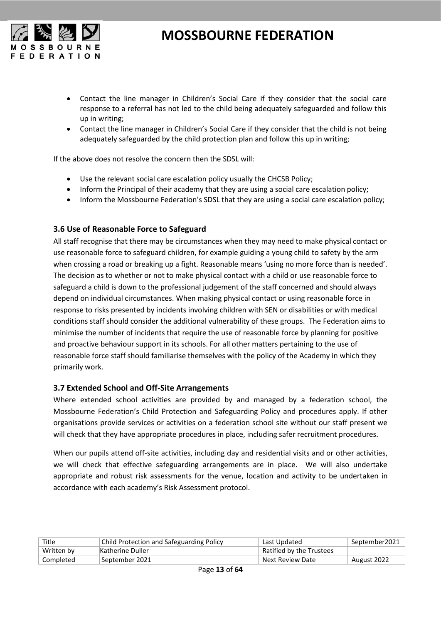

- Contact the line manager in Children's Social Care if they consider that the social care response to a referral has not led to the child being adequately safeguarded and follow this up in writing;
- Contact the line manager in Children's Social Care if they consider that the child is not being adequately safeguarded by the child protection plan and follow this up in writing;

If the above does not resolve the concern then the SDSL will:

- Use the relevant social care escalation policy usually the CHCSB Policy;
- Inform the Principal of their academy that they are using a social care escalation policy;
- Inform the Mossbourne Federation's SDSL that they are using a social care escalation policy;

#### <span id="page-12-0"></span>**3.6 Use of Reasonable Force to Safeguard**

All staff recognise that there may be circumstances when they may need to make physical contact or use reasonable force to safeguard children, for example guiding a young child to safety by the arm when crossing a road or breaking up a fight. Reasonable means 'using no more force than is needed'. The decision as to whether or not to make physical contact with a child or use reasonable force to safeguard a child is down to the professional judgement of the staff concerned and should always depend on individual circumstances. When making physical contact or using reasonable force in response to risks presented by incidents involving children with SEN or disabilities or with medical conditions staff should consider the additional vulnerability of these groups. The Federation aims to minimise the number of incidents that require the use of reasonable force by planning for positive and proactive behaviour support in its schools. For all other matters pertaining to the use of reasonable force staff should familiarise themselves with the policy of the Academy in which they primarily work.

#### <span id="page-12-1"></span>**3.7 Extended School and Off-Site Arrangements**

Where extended school activities are provided by and managed by a federation school, the Mossbourne Federation's Child Protection and Safeguarding Policy and procedures apply. If other organisations provide services or activities on a federation school site without our staff present we will check that they have appropriate procedures in place, including safer recruitment procedures.

When our pupils attend off-site activities, including day and residential visits and or other activities, we will check that effective safeguarding arrangements are in place. We will also undertake appropriate and robust risk assessments for the venue, location and activity to be undertaken in accordance with each academy's Risk Assessment protocol.

| Title      | <b>Child Protection and Safeguarding Policy</b> | Last Updated             | September2021 |
|------------|-------------------------------------------------|--------------------------|---------------|
| Written by | Katherine Duller                                | Ratified by the Trustees |               |
| Completed  | September 2021                                  | Next Review Date         | August 2022   |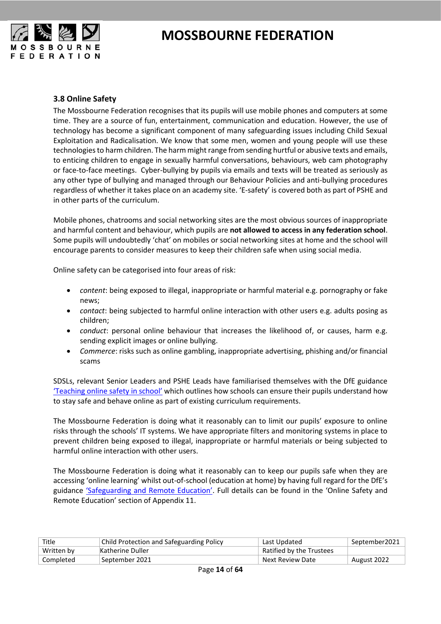

#### <span id="page-13-0"></span>**3.8 Online Safety**

The Mossbourne Federation recognises that its pupils will use mobile phones and computers at some time. They are a source of fun, entertainment, communication and education. However, the use of technology has become a significant component of many safeguarding issues including Child Sexual Exploitation and Radicalisation. We know that some men, women and young people will use these technologies to harm children. The harm might range from sending hurtful or abusive texts and emails, to enticing children to engage in sexually harmful conversations, behaviours, web cam photography or face-to-face meetings. Cyber-bullying by pupils via emails and texts will be treated as seriously as any other type of bullying and managed through our Behaviour Policies and anti-bullying procedures regardless of whether it takes place on an academy site. 'E-safety' is covered both as part of PSHE and in other parts of the curriculum.

Mobile phones, chatrooms and social networking sites are the most obvious sources of inappropriate and harmful content and behaviour, which pupils are **not allowed to access in any federation school**. Some pupils will undoubtedly 'chat' on mobiles or social networking sites at home and the school will encourage parents to consider measures to keep their children safe when using social media.

Online safety can be categorised into four areas of risk:

- *content*: being exposed to illegal, inappropriate or harmful material e.g. pornography or fake news;
- *contact*: being subjected to harmful online interaction with other users e.g. adults posing as children;
- *conduct*: personal online behaviour that increases the likelihood of, or causes, harm e.g. sending explicit images or online bullying.
- *Commerce*: risks such as online gambling, inappropriate advertising, phishing and/or financial scams

SDSLs, relevant Senior Leaders and PSHE Leads have familiarised themselves with the DfE guidance ['Teaching online safety in school'](https://assets.publishing.service.gov.uk/government/uploads/system/uploads/attachment_data/file/811796/Teaching_online_safety_in_school.pdf?_ga=2.241845062.576704384.1566815809-1660803633.1566500150) which outlines how schools can ensure their pupils understand how to stay safe and behave online as part of existing curriculum requirements.

The Mossbourne Federation is doing what it reasonably can to limit our pupils' exposure to online risks through the schools' IT systems. We have appropriate filters and monitoring systems in place to prevent children being exposed to illegal, inappropriate or harmful materials or being subjected to harmful online interaction with other users.

The Mossbourne Federation is doing what it reasonably can to keep our pupils safe when they are accessing 'online learning' whilst out-of-school (education at home) by having full regard for the DfE's guidance ['Safeguarding and Remote Education'.](https://www.gov.uk/guidance/safeguarding-and-remote-education-during-coronavirus-covid-19#history) Full details can be found in the 'Online Safety and Remote Education' section of Appendix 11.

| Title      | Child Protection and Safeguarding Policy | Last Updated                    | September2021 |
|------------|------------------------------------------|---------------------------------|---------------|
| Written by | Katherine Duller                         | <b>Ratified by the Trustees</b> |               |
| Completed  | September 2021                           | Next Review Date                | August 2022   |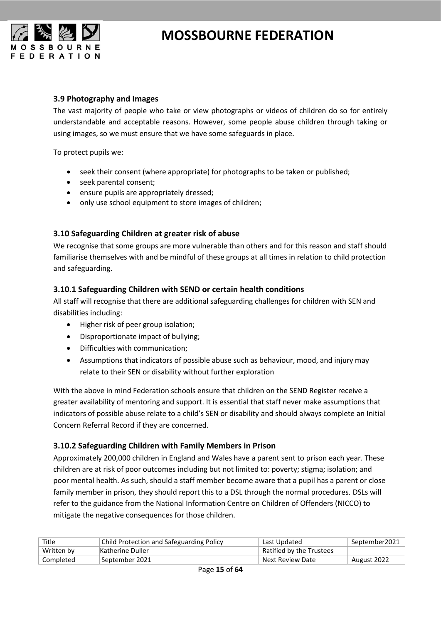

#### <span id="page-14-0"></span>**3.9 Photography and Images**

The vast majority of people who take or view photographs or videos of children do so for entirely understandable and acceptable reasons. However, some people abuse children through taking or using images, so we must ensure that we have some safeguards in place.

To protect pupils we:

- seek their consent (where appropriate) for photographs to be taken or published;
- seek parental consent;
- ensure pupils are appropriately dressed;
- only use school equipment to store images of children;

#### <span id="page-14-1"></span>**3.10 Safeguarding Children at greater risk of abuse**

We recognise that some groups are more vulnerable than others and for this reason and staff should familiarise themselves with and be mindful of these groups at all times in relation to child protection and safeguarding.

#### <span id="page-14-2"></span>**3.10.1 Safeguarding Children with SEND or certain health conditions**

All staff will recognise that there are additional safeguarding challenges for children with SEN and disabilities including:

- Higher risk of peer group isolation;
- Disproportionate impact of bullying;
- Difficulties with communication;
- Assumptions that indicators of possible abuse such as behaviour, mood, and injury may relate to their SEN or disability without further exploration

With the above in mind Federation schools ensure that children on the SEND Register receive a greater availability of mentoring and support. It is essential that staff never make assumptions that indicators of possible abuse relate to a child's SEN or disability and should always complete an Initial Concern Referral Record if they are concerned.

#### <span id="page-14-3"></span>**3.10.2 Safeguarding Children with Family Members in Prison**

Approximately 200,000 children in England and Wales have a parent sent to prison each year. These children are at risk of poor outcomes including but not limited to: poverty; stigma; isolation; and poor mental health. As such, should a staff member become aware that a pupil has a parent or close family member in prison, they should report this to a DSL through the normal procedures. DSLs will refer to the guidance from the National Information Centre on Children of Offenders (NICCO) to mitigate the negative consequences for those children.

| Title      | Child Protection and Safeguarding Policy | Last Updated             | September2021 |
|------------|------------------------------------------|--------------------------|---------------|
| Written by | Katherine Duller                         | Ratified by the Trustees |               |
| Completed  | September 2021 !                         | Next Review Date         | August 2022   |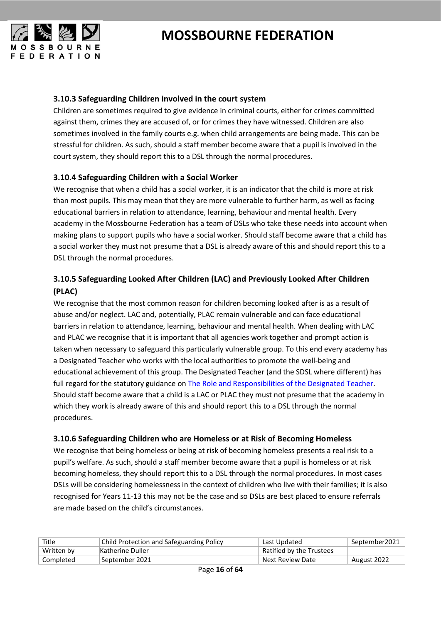

#### <span id="page-15-0"></span>**3.10.3 Safeguarding Children involved in the court system**

Children are sometimes required to give evidence in criminal courts, either for crimes committed against them, crimes they are accused of, or for crimes they have witnessed. Children are also sometimes involved in the family courts e.g. when child arrangements are being made. This can be stressful for children. As such, should a staff member become aware that a pupil is involved in the court system, they should report this to a DSL through the normal procedures.

#### <span id="page-15-1"></span>**3.10.4 Safeguarding Children with a Social Worker**

We recognise that when a child has a social worker, it is an indicator that the child is more at risk than most pupils. This may mean that they are more vulnerable to further harm, as well as facing educational barriers in relation to attendance, learning, behaviour and mental health. Every academy in the Mossbourne Federation has a team of DSLs who take these needs into account when making plans to support pupils who have a social worker. Should staff become aware that a child has a social worker they must not presume that a DSL is already aware of this and should report this to a DSL through the normal procedures.

#### <span id="page-15-2"></span>**3.10.5 Safeguarding Looked After Children (LAC) and Previously Looked After Children (PLAC)**

We recognise that the most common reason for children becoming looked after is as a result of abuse and/or neglect. LAC and, potentially, PLAC remain vulnerable and can face educational barriers in relation to attendance, learning, behaviour and mental health. When dealing with LAC and PLAC we recognise that it is important that all agencies work together and prompt action is taken when necessary to safeguard this particularly vulnerable group. To this end every academy has a Designated Teacher who works with the local authorities to promote the well-being and educational achievement of this group. The Designated Teacher (and the SDSL where different) has full regard for the statutory guidance on [The Role and Responsibilities of the Designated Teacher.](https://www.gov.uk/government/publications/designated-teacher-for-looked-after-children) Should staff become aware that a child is a LAC or PLAC they must not presume that the academy in which they work is already aware of this and should report this to a DSL through the normal procedures.

#### <span id="page-15-3"></span>**3.10.6 Safeguarding Children who are Homeless or at Risk of Becoming Homeless**

We recognise that being homeless or being at risk of becoming homeless presents a real risk to a pupil's welfare. As such, should a staff member become aware that a pupil is homeless or at risk becoming homeless, they should report this to a DSL through the normal procedures. In most cases DSLs will be considering homelessness in the context of children who live with their families; it is also recognised for Years 11-13 this may not be the case and so DSLs are best placed to ensure referrals are made based on the child's circumstances.

| Title      | Child Protection and Safeguarding Policy | Last Updated             | September2021 |
|------------|------------------------------------------|--------------------------|---------------|
| Written by | Katherine Duller                         | Ratified by the Trustees |               |
| Completed  | September 2021                           | Next Review Date         | August 2022   |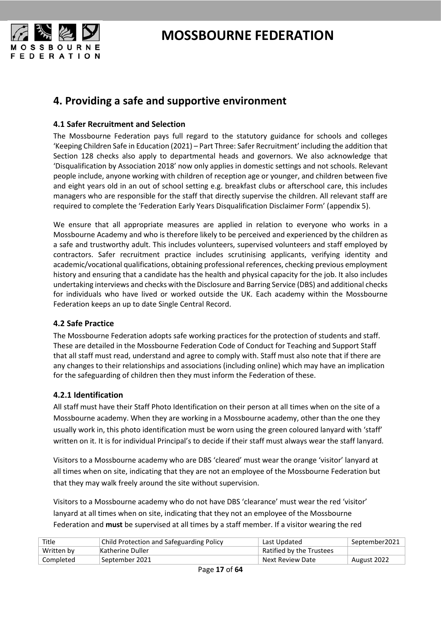

### <span id="page-16-0"></span>**4. Providing a safe and supportive environment**

#### <span id="page-16-1"></span>**4.1 Safer Recruitment and Selection**

The Mossbourne Federation pays full regard to the statutory guidance for schools and colleges 'Keeping Children Safe in Education (2021) – Part Three: Safer Recruitment' including the addition that Section 128 checks also apply to departmental heads and governors. We also acknowledge that 'Disqualification by Association 2018' now only applies in domestic settings and not schools. Relevant people include, anyone working with children of reception age or younger, and children between five and eight years old in an out of school setting e.g. breakfast clubs or afterschool care, this includes managers who are responsible for the staff that directly supervise the children. All relevant staff are required to complete the 'Federation Early Years Disqualification Disclaimer Form' (appendix 5).

We ensure that all appropriate measures are applied in relation to everyone who works in a Mossbourne Academy and who is therefore likely to be perceived and experienced by the children as a safe and trustworthy adult. This includes volunteers, supervised volunteers and staff employed by contractors. Safer recruitment practice includes scrutinising applicants, verifying identity and academic/vocational qualifications, obtaining professional references, checking previous employment history and ensuring that a candidate has the health and physical capacity for the job. It also includes undertaking interviews and checks with the Disclosure and Barring Service (DBS) and additional checks for individuals who have lived or worked outside the UK. Each academy within the Mossbourne Federation keeps an up to date Single Central Record.

#### <span id="page-16-2"></span>**4.2 Safe Practice**

The Mossbourne Federation adopts safe working practices for the protection of students and staff. These are detailed in the Mossbourne Federation Code of Conduct for Teaching and Support Staff that all staff must read, understand and agree to comply with. Staff must also note that if there are any changes to their relationships and associations (including online) which may have an implication for the safeguarding of children then they must inform the Federation of these.

#### <span id="page-16-3"></span>**4.2.1 Identification**

All staff must have their Staff Photo Identification on their person at all times when on the site of a Mossbourne academy. When they are working in a Mossbourne academy, other than the one they usually work in, this photo identification must be worn using the green coloured lanyard with 'staff' written on it. It is for individual Principal's to decide if their staff must always wear the staff lanyard.

Visitors to a Mossbourne academy who are DBS 'cleared' must wear the orange 'visitor' lanyard at all times when on site, indicating that they are not an employee of the Mossbourne Federation but that they may walk freely around the site without supervision.

Visitors to a Mossbourne academy who do not have DBS 'clearance' must wear the red 'visitor' lanyard at all times when on site, indicating that they not an employee of the Mossbourne Federation and **must** be supervised at all times by a staff member. If a visitor wearing the red

| Title      | <b>Child Protection and Safeguarding Policy</b> | Last Updated             | September2021 |
|------------|-------------------------------------------------|--------------------------|---------------|
| Written by | Katherine Duller                                | Ratified by the Trustees |               |
| Completed  | September 2021                                  | Next Review Date         | August 2022   |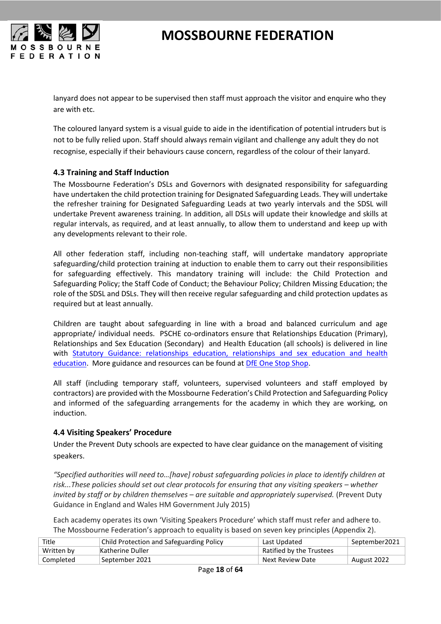

lanyard does not appear to be supervised then staff must approach the visitor and enquire who they are with etc.

The coloured lanyard system is a visual guide to aide in the identification of potential intruders but is not to be fully relied upon. Staff should always remain vigilant and challenge any adult they do not recognise, especially if their behaviours cause concern, regardless of the colour of their lanyard.

#### <span id="page-17-0"></span>**4.3 Training and Staff Induction**

The Mossbourne Federation's DSLs and Governors with designated responsibility for safeguarding have undertaken the child protection training for Designated Safeguarding Leads. They will undertake the refresher training for Designated Safeguarding Leads at two yearly intervals and the SDSL will undertake Prevent awareness training. In addition, all DSLs will update their knowledge and skills at regular intervals, as required, and at least annually, to allow them to understand and keep up with any developments relevant to their role.

All other federation staff, including non-teaching staff, will undertake mandatory appropriate safeguarding/child protection training at induction to enable them to carry out their responsibilities for safeguarding effectively. This mandatory training will include: the Child Protection and Safeguarding Policy; the Staff Code of Conduct; the Behaviour Policy; Children Missing Education; the role of the SDSL and DSLs. They will then receive regular safeguarding and child protection updates as required but at least annually.

Children are taught about safeguarding in line with a broad and balanced curriculum and age appropriate/ individual needs. PSCHE co-ordinators ensure that Relationships Education (Primary), Relationships and Sex Education (Secondary) and Health Education (all schools) is delivered in line with [Statutory Guidance: relationships education, relationships and sex education and health](https://www.gov.uk/government/publications/relationships-education-relationships-and-sex-education-rse-and-health-education)  [education.](https://www.gov.uk/government/publications/relationships-education-relationships-and-sex-education-rse-and-health-education) More guidance and resources can be found at [DfE One Stop Shop.](https://www.gov.uk/guidance/teaching-about-relationships-sex-and-health)

All staff (including temporary staff, volunteers, supervised volunteers and staff employed by contractors) are provided with the Mossbourne Federation's Child Protection and Safeguarding Policy and informed of the safeguarding arrangements for the academy in which they are working, on induction.

#### <span id="page-17-1"></span>**4.4 Visiting Speakers' Procedure**

Under the Prevent Duty schools are expected to have clear guidance on the management of visiting speakers.

*"Specified authorities will need to…[have] robust safeguarding policies in place to identify children at risk...These policies should set out clear protocols for ensuring that any visiting speakers – whether invited by staff or by children themselves – are suitable and appropriately supervised.* (Prevent Duty Guidance in England and Wales HM Government July 2015)

Each academy operates its own 'Visiting Speakers Procedure' which staff must refer and adhere to. The Mossbourne Federation's approach to equality is based on seven key principles (Appendix 2).

| Title      | <b>Child Protection and Safeguarding Policy</b> | Last Updated             | September2021 |
|------------|-------------------------------------------------|--------------------------|---------------|
| Written by | Katherine Duller                                | Ratified by the Trustees |               |
| Completed  | September 2021                                  | Next Review Date         | August 2022   |
|            |                                                 |                          |               |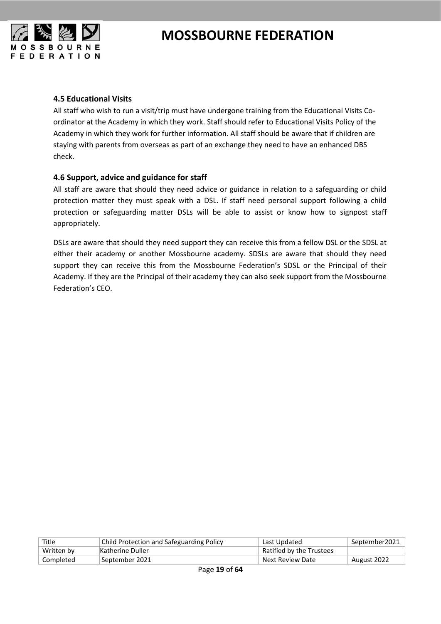

#### <span id="page-18-0"></span>**4.5 Educational Visits**

All staff who wish to run a visit/trip must have undergone training from the Educational Visits Coordinator at the Academy in which they work. Staff should refer to Educational Visits Policy of the Academy in which they work for further information. All staff should be aware that if children are staying with parents from overseas as part of an exchange they need to have an enhanced DBS check.

#### <span id="page-18-1"></span>**4.6 Support, advice and guidance for staff**

All staff are aware that should they need advice or guidance in relation to a safeguarding or child protection matter they must speak with a DSL. If staff need personal support following a child protection or safeguarding matter DSLs will be able to assist or know how to signpost staff appropriately.

DSLs are aware that should they need support they can receive this from a fellow DSL or the SDSL at either their academy or another Mossbourne academy. SDSLs are aware that should they need support they can receive this from the Mossbourne Federation's SDSL or the Principal of their Academy. If they are the Principal of their academy they can also seek support from the Mossbourne Federation's CEO.

| Title      | Child Protection and Safeguarding Policy | Last Updated             | September2021 |
|------------|------------------------------------------|--------------------------|---------------|
| Written by | Katherine Duller                         | Ratified by the Trustees |               |
| Completed  | September 2021                           | Next Review Date         | August 2022   |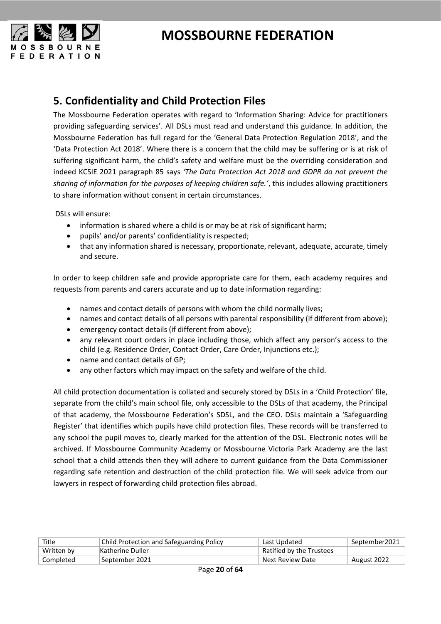

### <span id="page-19-0"></span>**5. Confidentiality and Child Protection Files**

The Mossbourne Federation operates with regard to 'Information Sharing: Advice for practitioners providing safeguarding services'. All DSLs must read and understand this guidance. In addition, the Mossbourne Federation has full regard for the 'General Data Protection Regulation 2018', and the 'Data Protection Act 2018'. Where there is a concern that the child may be suffering or is at risk of suffering significant harm, the child's safety and welfare must be the overriding consideration and indeed KCSIE 2021 paragraph 85 says *'The Data Protection Act 2018 and GDPR do not prevent the sharing of information for the purposes of keeping children safe.'*, this includes allowing practitioners to share information without consent in certain circumstances.

DSLs will ensure:

- information is shared where a child is or may be at risk of significant harm;
- pupils' and/or parents' confidentiality is respected;
- that any information shared is necessary, proportionate, relevant, adequate, accurate, timely and secure.

In order to keep children safe and provide appropriate care for them, each academy requires and requests from parents and carers accurate and up to date information regarding:

- names and contact details of persons with whom the child normally lives;
- names and contact details of all persons with parental responsibility (if different from above);
- emergency contact details (if different from above);
- any relevant court orders in place including those, which affect any person's access to the child (e.g. Residence Order, Contact Order, Care Order, Injunctions etc.);
- name and contact details of GP;
- any other factors which may impact on the safety and welfare of the child.

All child protection documentation is collated and securely stored by DSLs in a 'Child Protection' file, separate from the child's main school file, only accessible to the DSLs of that academy, the Principal of that academy, the Mossbourne Federation's SDSL, and the CEO. DSLs maintain a 'Safeguarding Register' that identifies which pupils have child protection files. These records will be transferred to any school the pupil moves to, clearly marked for the attention of the DSL. Electronic notes will be archived. If Mossbourne Community Academy or Mossbourne Victoria Park Academy are the last school that a child attends then they will adhere to current guidance from the Data Commissioner regarding safe retention and destruction of the child protection file. We will seek advice from our lawyers in respect of forwarding child protection files abroad.

| Title      | <b>Child Protection and Safeguarding Policy</b> | Last Updated             | September2021 |
|------------|-------------------------------------------------|--------------------------|---------------|
| Written by | Katherine Duller                                | Ratified by the Trustees |               |
| Completed  | September 2021                                  | Next Review Date         | August 2022   |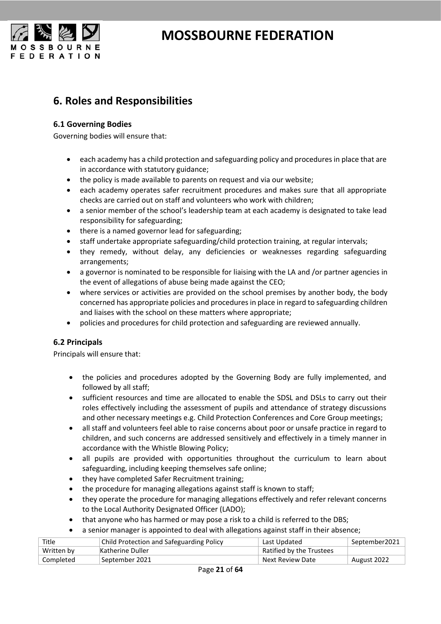

### <span id="page-20-0"></span>**6. Roles and Responsibilities**

#### <span id="page-20-1"></span>**6.1 Governing Bodies**

Governing bodies will ensure that:

- each academy has a child protection and safeguarding policy and procedures in place that are in accordance with statutory guidance;
- the policy is made available to parents on request and via our website;
- each academy operates safer recruitment procedures and makes sure that all appropriate checks are carried out on staff and volunteers who work with children;
- a senior member of the school's leadership team at each academy is designated to take lead responsibility for safeguarding;
- there is a named governor lead for safeguarding;
- staff undertake appropriate safeguarding/child protection training, at regular intervals;
- they remedy, without delay, any deficiencies or weaknesses regarding safeguarding arrangements;
- a governor is nominated to be responsible for liaising with the LA and /or partner agencies in the event of allegations of abuse being made against the CEO;
- where services or activities are provided on the school premises by another body, the body concerned has appropriate policies and procedures in place in regard to safeguarding children and liaises with the school on these matters where appropriate;
- policies and procedures for child protection and safeguarding are reviewed annually.

#### <span id="page-20-2"></span>**6.2 Principals**

Principals will ensure that:

- the policies and procedures adopted by the Governing Body are fully implemented, and followed by all staff;
- sufficient resources and time are allocated to enable the SDSL and DSLs to carry out their roles effectively including the assessment of pupils and attendance of strategy discussions and other necessary meetings e.g. Child Protection Conferences and Core Group meetings;
- all staff and volunteers feel able to raise concerns about poor or unsafe practice in regard to children, and such concerns are addressed sensitively and effectively in a timely manner in accordance with th[e Whistle Blowing Policy;](http://www1.learningtrust.co.uk/bulletin/HLTdocuments/Hackney%20Whistleblowing%20Policy%20July%202014.pdf)
- all pupils are provided with opportunities throughout the curriculum to learn about safeguarding, including keeping themselves safe online;
- they have completed Safer Recruitment training;
- the procedure for managing allegations against staff is known to staff;
- they operate the procedure for managing allegations effectively and refer relevant concerns to the Local Authority Designated Officer (LADO);
- that anyone who has harmed or may pose a risk to a child is referred to the DBS;
- a senior manager is appointed to deal with allegations against staff in their absence;

| Title      | <b>Child Protection and Safeguarding Policy</b> | Last Updated             | September2021 |
|------------|-------------------------------------------------|--------------------------|---------------|
| Written by | Katherine Duller                                | Ratified by the Trustees |               |
| Completed  | September 2021                                  | Next Review Date         | August 2022   |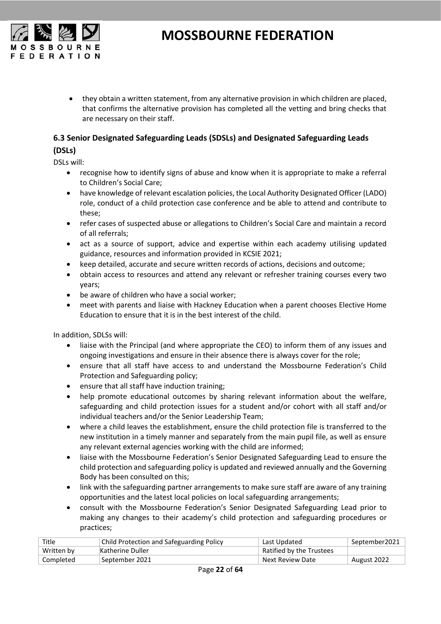

• they obtain a written statement, from any alternative provision in which children are placed, that confirms the alternative provision has completed all the vetting and bring checks that are necessary on their staff.

#### <span id="page-21-0"></span>**6.3 Senior Designated Safeguarding Leads (SDSLs) and Designated Safeguarding Leads**

#### **(DSLs)**

DSLs will:

- recognise how to identify signs of abuse and know when it is appropriate to make a referral to Children's Social Care;
- have knowledge of relevant escalation policies, the Local Authority Designated Officer (LADO) role, conduct of a child protection case conference and be able to attend and contribute to these;
- refer cases of suspected abuse or allegations to Children's Social Care and maintain a record of all referrals;
- act as a source of support, advice and expertise within each academy utilising updated guidance, resources and information provided in KCSIE 2021;
- keep detailed, accurate and secure written records of actions, decisions and outcome;
- obtain access to resources and attend any relevant or refresher training courses every two years;
- be aware of children who have a social worker;
- meet with parents and liaise with Hackney Education when a parent chooses Elective Home Education to ensure that it is in the best interest of the child.

In addition, SDLSs will:

- liaise with the Principal (and where appropriate the CEO) to inform them of any issues and ongoing investigations and ensure in their absence there is always cover for the role;
- ensure that all staff have access to and understand the Mossbourne Federation's Child Protection and Safeguarding policy;
- ensure that all staff have induction training;
- help promote educational outcomes by sharing relevant information about the welfare, safeguarding and child protection issues for a student and/or cohort with all staff and/or individual teachers and/or the Senior Leadership Team;
- where a child leaves the establishment, ensure the child protection file is transferred to the new institution in a timely manner and separately from the main pupil file, as well as ensure any relevant external agencies working with the child are informed;
- liaise with the Mossbourne Federation's Senior Designated Safeguarding Lead to ensure the child protection and safeguarding policy is updated and reviewed annually and the Governing Body has been consulted on this;
- link with the safeguarding partner arrangements to make sure staff are aware of any training opportunities and the latest local policies on local safeguarding arrangements;
- consult with the Mossbourne Federation's Senior Designated Safeguarding Lead prior to making any changes to their academy's child protection and safeguarding procedures or practices;

| Title      | <b>Child Protection and Safeguarding Policy</b> | Last Updated             | September2021 |
|------------|-------------------------------------------------|--------------------------|---------------|
| Written by | Katherine Duller                                | Ratified by the Trustees |               |
| Completed  | September 2021                                  | Next Review Date         | August 2022   |
|            |                                                 |                          |               |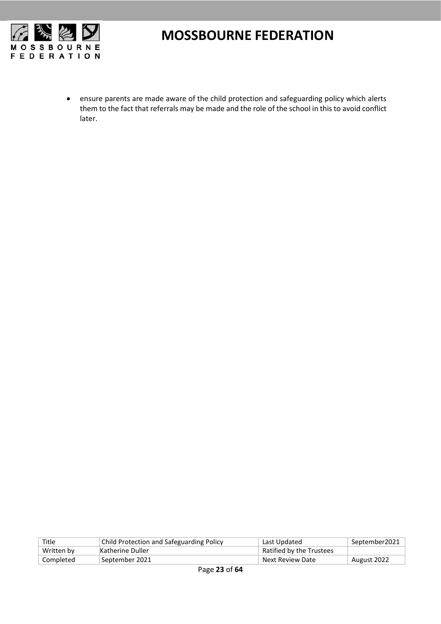

• ensure parents are made aware of the child protection and safeguarding policy which alerts them to the fact that referrals may be made and the role of the school in this to avoid conflict later.

| Title      | Child Protection and Safeguarding Policy | Last Updated             | September2021 |
|------------|------------------------------------------|--------------------------|---------------|
| Written by | Katherine Duller                         | Ratified by the Trustees |               |
| Completed  | September 2021                           | Next Review Date         | August 2022   |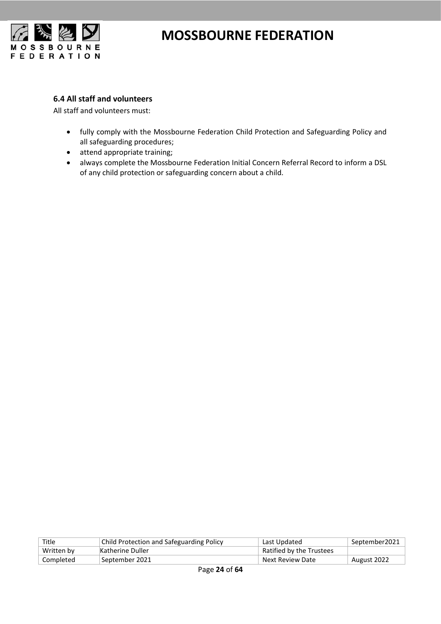

#### <span id="page-23-0"></span>**6.4 All staff and volunteers**

All staff and volunteers must:

- fully comply with the Mossbourne Federation Child Protection and Safeguarding Policy and all safeguarding procedures;
- attend appropriate training;
- always complete the Mossbourne Federation Initial Concern Referral Record to inform a DSL of any child protection or safeguarding concern about a child.

| Title      | Child Protection and Safeguarding Policy | Last Updated             | September2021 |
|------------|------------------------------------------|--------------------------|---------------|
| Written by | Katherine Duller                         | Ratified by the Trustees |               |
| Completed  | September 2021                           | Next Review Date         | August 2022   |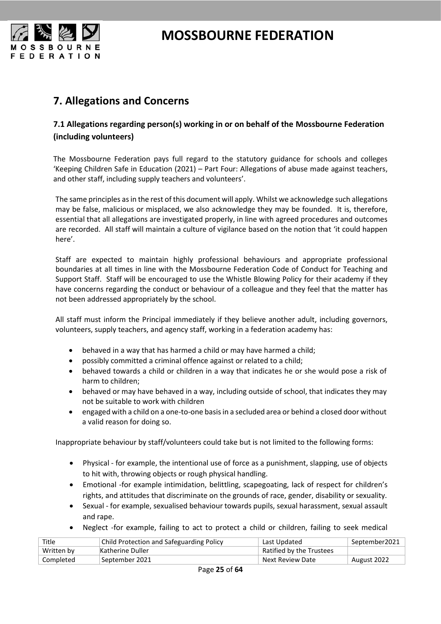

### <span id="page-24-0"></span>**7. Allegations and Concerns**

#### <span id="page-24-1"></span>**7.1 Allegations regarding person(s) working in or on behalf of the Mossbourne Federation (including volunteers)**

The Mossbourne Federation pays full regard to the statutory guidance for schools and colleges 'Keeping Children Safe in Education (2021) – Part Four: Allegations of abuse made against teachers, and other staff, including supply teachers and volunteers'.

The same principles as in the rest of this document will apply. Whilst we acknowledge such allegations may be false, malicious or misplaced, we also acknowledge they may be founded. It is, therefore, essential that all allegations are investigated properly, in line with agreed procedures and outcomes are recorded. All staff will maintain a culture of vigilance based on the notion that 'it could happen here'.

Staff are expected to maintain highly professional behaviours and appropriate professional boundaries at all times in line with the Mossbourne Federation Code of Conduct for Teaching and Support Staff. Staff will be encouraged to use the Whistle Blowing Policy for their academy if they have concerns regarding the conduct or behaviour of a colleague and they feel that the matter has not been addressed appropriately by the school.

All staff must inform the Principal immediately if they believe another adult, including governors, volunteers, supply teachers, and agency staff, working in a federation academy has:

- behaved in a way that has harmed a child or may have harmed a child;
- possibly committed a criminal offence against or related to a child;
- behaved towards a child or children in a way that indicates he or she would pose a risk of harm to children;
- behaved or may have behaved in a way, including outside of school, that indicates they may not be suitable to work with children
- engaged with a child on a one-to-one basis in a secluded area or behind a closed door without a valid reason for doing so.

Inappropriate behaviour by staff/volunteers could take but is not limited to the following forms:

- Physical for example, the intentional use of force as a punishment, slapping, use of objects to hit with, throwing objects or rough physical handling.
- Emotional -for example intimidation, belittling, scapegoating, lack of respect for children's rights, and attitudes that discriminate on the grounds of race, gender, disability or sexuality.
- Sexual for example, sexualised behaviour towards pupils, sexual harassment, sexual assault and rape.
- Neglect -for example, failing to act to protect a child or children, failing to seek medical

| Title      | Child Protection and Safeguarding Policy | Last Updated             | September2021 |
|------------|------------------------------------------|--------------------------|---------------|
| Written by | Katherine Duller                         | Ratified by the Trustees |               |
| Completed  | September 2021                           | Next Review Date         | August 2022   |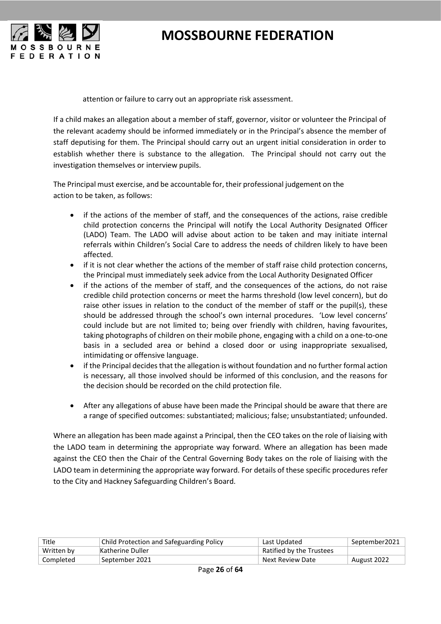



attention or failure to carry out an appropriate risk assessment.

If a child makes an allegation about a member of staff, governor, visitor or volunteer the Principal of the relevant academy should be informed immediately or in the Principal's absence the member of staff deputising for them. The Principal should carry out an urgent initial consideration in order to establish whether there is substance to the allegation. The Principal should not carry out the investigation themselves or interview pupils.

The Principal must exercise, and be accountable for, their professional judgement on the action to be taken, as follows:

- if the actions of the member of staff, and the consequences of the actions, raise credible child protection concerns the Principal will notify the Local Authority Designated Officer (LADO) Team. The LADO will advise about action to be taken and may initiate internal referrals within Children's Social Care to address the needs of children likely to have been affected.
- if it is not clear whether the actions of the member of staff raise child protection concerns, the Principal must immediately seek advice from the Local Authority Designated Officer
- if the actions of the member of staff, and the consequences of the actions, do not raise credible child protection concerns or meet the harms threshold (low level concern), but do raise other issues in relation to the conduct of the member of staff or the pupil(s), these should be addressed through the school's own internal procedures. 'Low level concerns' could include but are not limited to; being over friendly with children, having favourites, taking photographs of children on their mobile phone, engaging with a child on a one-to-one basis in a secluded area or behind a closed door or using inappropriate sexualised, intimidating or offensive language.
- if the Principal decides that the allegation is without foundation and no further formal action is necessary, all those involved should be informed of this conclusion, and the reasons for the decision should be recorded on the child protection file.
- After any allegations of abuse have been made the Principal should be aware that there are a range of specified outcomes: substantiated; malicious; false; unsubstantiated; unfounded.

Where an allegation has been made against a Principal, then the CEO takes on the role of liaising with the LADO team in determining the appropriate way forward. Where an allegation has been made against the CEO then the Chair of the Central Governing Body takes on the role of liaising with the LADO team in determining the appropriate way forward. For details of these specific procedures refer to the City and Hackney Safeguarding Children's Board.

| Title      | Child Protection and Safeguarding Policy | Last Updated             | September2021 |
|------------|------------------------------------------|--------------------------|---------------|
| Written by | Katherine Duller                         | Ratified by the Trustees |               |
| Completed  | September 2021                           | Next Review Date         | August 2022   |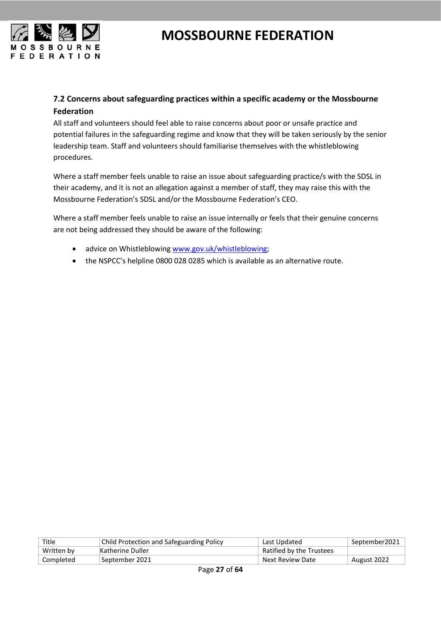

#### <span id="page-26-0"></span>**7.2 Concerns about safeguarding practices within a specific academy or the Mossbourne Federation**

All staff and volunteers should feel able to raise concerns about poor or unsafe practice and potential failures in the safeguarding regime and know that they will be taken seriously by the senior leadership team. Staff and volunteers should familiarise themselves with the whistleblowing procedures.

Where a staff member feels unable to raise an issue about safeguarding practice/s with the SDSL in their academy, and it is not an allegation against a member of staff, they may raise this with the Mossbourne Federation's SDSL and/or the Mossbourne Federation's CEO.

Where a staff member feels unable to raise an issue internally or feels that their genuine concerns are not being addressed they should be aware of the following:

- advice on Whistleblowin[g www.gov.uk/whistleblowing;](http://www.gov.uk/whistleblowing)
- the NSPCC's helpline 0800 028 0285 which is available as an alternative route.

| Title      | <b>Child Protection and Safeguarding Policy</b> | Last Updated             | September2021 |
|------------|-------------------------------------------------|--------------------------|---------------|
| Written by | Katherine Duller                                | Ratified by the Trustees |               |
| Completed  | September 2021                                  | Next Review Date         | August 2022   |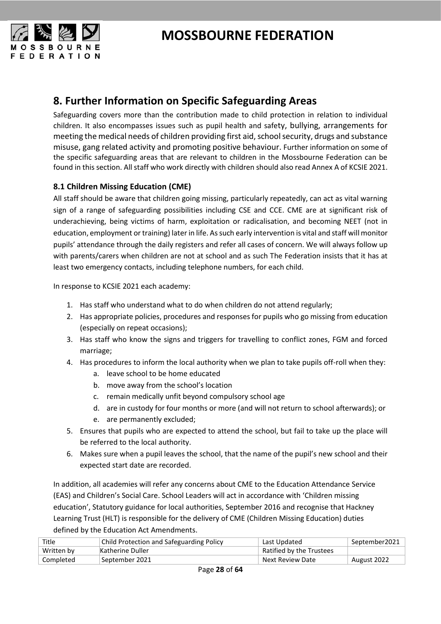



### <span id="page-27-0"></span>**8. Further Information on Specific Safeguarding Areas**

Safeguarding covers more than the contribution made to child protection in relation to individual children. It also encompasses issues such as pupil health and safety, bullying, arrangements for meeting the medical needs of children providing first aid, school security, drugs and substance misuse, gang related activity and promoting positive behaviour. Further information on some of the specific safeguarding areas that are relevant to children in the Mossbourne Federation can be found in this section. All staff who work directly with children should also read Annex A of KCSIE 2021.

#### <span id="page-27-1"></span>**8.1 Children Missing Education (CME)**

All staff should be aware that children going missing, particularly repeatedly, can act as vital warning sign of a range of safeguarding possibilities including CSE and CCE. CME are at significant risk of underachieving, being victims of harm, exploitation or radicalisation, and becoming NEET (not in education, employment or training) later in life. As such early intervention is vital and staff will monitor pupils' attendance through the daily registers and refer all cases of concern. We will always follow up with parents/carers when children are not at school and as such The Federation insists that it has at least two emergency contacts, including telephone numbers, for each child.

In response to KCSIE 2021 each academy:

- 1. Has staff who understand what to do when children do not attend regularly;
- 2. Has appropriate policies, procedures and responses for pupils who go missing from education (especially on repeat occasions);
- 3. Has staff who know the signs and triggers for travelling to conflict zones, FGM and forced marriage;
- 4. Has procedures to inform the local authority when we plan to take pupils off-roll when they:
	- a. leave school to be home educated
	- b. move away from the school's location
	- c. remain medically unfit beyond compulsory school age
	- d. are in custody for four months or more (and will not return to school afterwards); or
	- e. are permanently excluded;
- 5. Ensures that pupils who are expected to attend the school, but fail to take up the place will be referred to the local authority.
- 6. Makes sure when a pupil leaves the school, that the name of the pupil's new school and their expected start date are recorded.

In addition, all academies will refer any concerns about CME to the Education Attendance Service (EAS) and Children's Social Care. School Leaders will act in accordance with 'Children missing education', Statutory guidance for local authorities, September 2016 and recognise that Hackney Learning Trust (HLT) is responsible for the delivery of CME (Children Missing Education) duties defined by the Education Act Amendments.

| Title      | Child Protection and Safeguarding Policy | Last Updated             | September2021 Septemb |
|------------|------------------------------------------|--------------------------|-----------------------|
| Written by | Katherine Duller                         | Ratified by the Trustees |                       |
| Completed  | September 2021                           | Next Review Date         | August 2022           |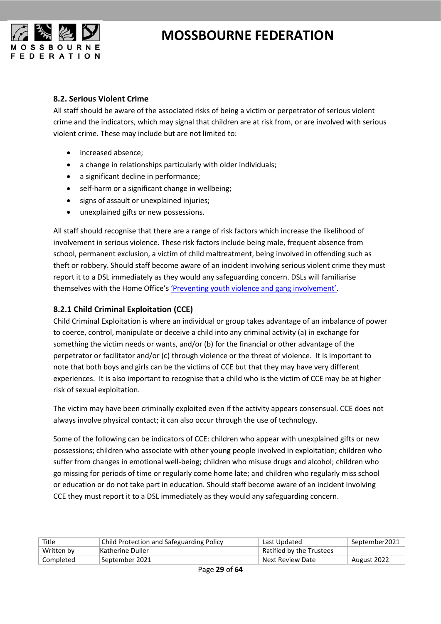

#### <span id="page-28-0"></span>**8.2. Serious Violent Crime**

All staff should be aware of the associated risks of being a victim or perpetrator of serious violent crime and the indicators, which may signal that children are at risk from, or are involved with serious violent crime. These may include but are not limited to:

- increased absence;
- a change in relationships particularly with older individuals;
- a significant decline in performance;
- self-harm or a significant change in wellbeing;
- signs of assault or unexplained injuries;
- unexplained gifts or new possessions.

All staff should recognise that there are a range of risk factors which increase the likelihood of involvement in serious violence. These risk factors include being male, frequent absence from school, permanent exclusion, a victim of child maltreatment, being involved in offending such as theft or robbery. Should staff become aware of an incident involving serious violent crime they must report it to a DSL immediately as they would any safeguarding concern. DSLs will familiarise themselves with the Home Office'[s 'Preventing youth violence and gang involvement'](https://assets.publishing.service.gov.uk/government/uploads/system/uploads/attachment_data/file/418131/Preventing_youth_violence_and_gang_involvement_v3_March2015.pdf).

#### <span id="page-28-1"></span>**8.2.1 Child Criminal Exploitation (CCE)**

Child Criminal Exploitation is where an individual or group takes advantage of an imbalance of power to coerce, control, manipulate or deceive a child into any criminal activity (a) in exchange for something the victim needs or wants, and/or (b) for the financial or other advantage of the perpetrator or facilitator and/or (c) through violence or the threat of violence. It is important to note that both boys and girls can be the victims of CCE but that they may have very different experiences. It is also important to recognise that a child who is the victim of CCE may be at higher risk of sexual exploitation.

The victim may have been criminally exploited even if the activity appears consensual. CCE does not always involve physical contact; it can also occur through the use of technology.

Some of the following can be indicators of CCE: children who appear with unexplained gifts or new possessions; children who associate with other young people involved in exploitation; children who suffer from changes in emotional well-being; children who misuse drugs and alcohol; children who go missing for periods of time or regularly come home late; and children who regularly miss school or education or do not take part in education. Should staff become aware of an incident involving CCE they must report it to a DSL immediately as they would any safeguarding concern.

| Title      | Child Protection and Safeguarding Policy | Last Updated             | September2021 |
|------------|------------------------------------------|--------------------------|---------------|
| Written by | Katherine Duller                         | Ratified by the Trustees |               |
| Completed  | ∣September 2021                          | Next Review Date         | August 2022   |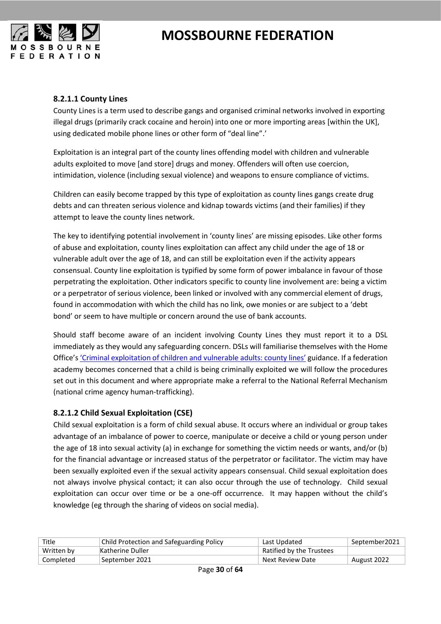

#### <span id="page-29-0"></span>**8.2.1.1 County Lines**

County Lines is a term used to describe gangs and organised criminal networks involved in exporting illegal drugs (primarily crack cocaine and heroin) into one or more importing areas [within the UK], using dedicated mobile phone lines or other form of "deal line".'

Exploitation is an integral part of the county lines offending model with children and vulnerable adults exploited to move [and store] drugs and money. Offenders will often use coercion, intimidation, violence (including sexual violence) and weapons to ensure compliance of victims.

Children can easily become trapped by this type of exploitation as county lines gangs create drug debts and can threaten serious violence and kidnap towards victims (and their families) if they attempt to leave the county lines network.

The key to identifying potential involvement in 'county lines' are missing episodes. Like other forms of abuse and exploitation, county lines exploitation can affect any child under the age of 18 or vulnerable adult over the age of 18, and can still be exploitation even if the activity appears consensual. County line exploitation is typified by some form of power imbalance in favour of those perpetrating the exploitation. Other indicators specific to county line involvement are: being a victim or a perpetrator of serious violence, been linked or involved with any commercial element of drugs, found in accommodation with which the child has no link, owe monies or are subject to a 'debt bond' or seem to have multiple or concern around the use of bank accounts.

Should staff become aware of an incident involving County Lines they must report it to a DSL immediately as they would any safeguarding concern. DSLs will familiarise themselves with the Home Office's ['Criminal exploitation of children and vulnerable adults: county lines'](https://assets.publishing.service.gov.uk/government/uploads/system/uploads/attachment_data/file/741194/HOCountyLinesGuidanceSept2018.pdf?_ga=2.166013690.576704384.1566815809-1660803633.1566500150) guidance. If a federation academy becomes concerned that a child is being criminally exploited we will follow the procedures set out in this document and where appropriate make a referral to the National Referral Mechanism (national crime agency human-trafficking).

#### <span id="page-29-1"></span>**8.2.1.2 Child Sexual Exploitation (CSE)**

Child sexual exploitation is a form of child sexual abuse. It occurs where an individual or group takes advantage of an imbalance of power to coerce, manipulate or deceive a child or young person under the age of 18 into sexual activity (a) in exchange for something the victim needs or wants, and/or (b) for the financial advantage or increased status of the perpetrator or facilitator. The victim may have been sexually exploited even if the sexual activity appears consensual. Child sexual exploitation does not always involve physical contact; it can also occur through the use of technology. Child sexual exploitation can occur over time or be a one-off occurrence. It may happen without the child's knowledge (eg through the sharing of videos on social media).

| Title      | <b>Child Protection and Safeguarding Policy</b> | Last Updated             | September2021 |
|------------|-------------------------------------------------|--------------------------|---------------|
| Written by | Katherine Duller                                | Ratified by the Trustees |               |
| Completed  | September 2021 !                                | Next Review Date         | August 2022   |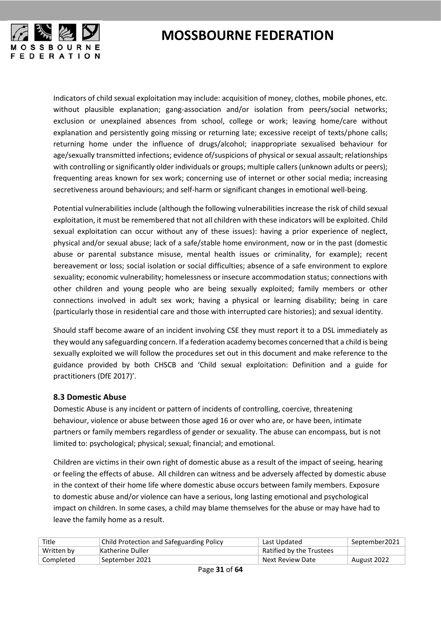

Indicators of child sexual exploitation may include: acquisition of money, clothes, mobile phones, etc. without plausible explanation; gang-association and/or isolation from peers/social networks; exclusion or unexplained absences from school, college or work; leaving home/care without explanation and persistently going missing or returning late; excessive receipt of texts/phone calls; returning home under the influence of drugs/alcohol; inappropriate sexualised behaviour for age/sexually transmitted infections; evidence of/suspicions of physical or sexual assault; relationships with controlling or significantly older individuals or groups; multiple callers (unknown adults or peers); frequenting areas known for sex work; concerning use of internet or other social media; increasing secretiveness around behaviours; and self-harm or significant changes in emotional well-being.

Potential vulnerabilities include (although the following vulnerabilities increase the risk of child sexual exploitation, it must be remembered that not all children with these indicators will be exploited. Child sexual exploitation can occur without any of these issues): having a prior experience of neglect, physical and/or sexual abuse; lack of a safe/stable home environment, now or in the past (domestic abuse or parental substance misuse, mental health issues or criminality, for example); recent bereavement or loss; social isolation or social difficulties; absence of a safe environment to explore sexuality; economic vulnerability; homelessness or insecure accommodation status; connections with other children and young people who are being sexually exploited; family members or other connections involved in adult sex work; having a physical or learning disability; being in care (particularly those in residential care and those with interrupted care histories); and sexual identity.

Should staff become aware of an incident involving CSE they must report it to a DSL immediately as they would any safeguarding concern. If a federation academy becomes concerned that a child is being sexually exploited we will follow the procedures set out in this document and make reference to the guidance provided by both CHSCB and 'Child sexual exploitation: Definition and a guide for practitioners (DfE 2017)'.

#### <span id="page-30-0"></span>**8.3 Domestic Abuse**

Domestic Abuse is any incident or pattern of incidents of controlling, coercive, threatening behaviour, violence or abuse between those aged 16 or over who are, or have been, intimate partners or family members regardless of gender or sexuality. The abuse can encompass, but is not limited to: psychological; physical; sexual; financial; and emotional.

Children are victims in their own right of domestic abuse as a result of the impact of seeing, hearing or feeling the effects of abuse. All children can witness and be adversely affected by domestic abuse in the context of their home life where domestic abuse occurs between family members. Exposure to domestic abuse and/or violence can have a serious, long lasting emotional and psychological impact on children. In some cases, a child may blame themselves for the abuse or may have had to leave the family home as a result.

| Title      | <b>Child Protection and Safeguarding Policy</b> | Last Updated             | September2021 |
|------------|-------------------------------------------------|--------------------------|---------------|
| Written by | Katherine Duller                                | Ratified by the Trustees |               |
| Completed  | September 2021                                  | Next Review Date         | August 2022   |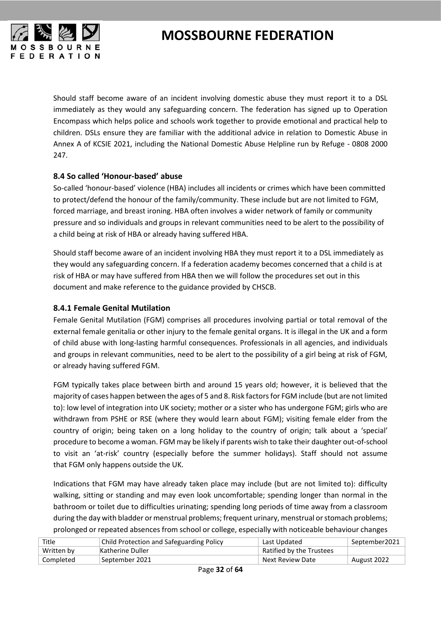

Should staff become aware of an incident involving domestic abuse they must report it to a DSL immediately as they would any safeguarding concern. The federation has signed up to Operation Encompass which helps police and schools work together to provide emotional and practical help to children. DSLs ensure they are familiar with the additional advice in relation to Domestic Abuse in Annex A of KCSIE 2021, including the National Domestic Abuse Helpline run by Refuge - 0808 2000 247.

#### <span id="page-31-0"></span>**8.4 So called 'Honour-based' abuse**

So-called 'honour-based' violence (HBA) includes all incidents or crimes which have been committed to protect/defend the honour of the family/community. These include but are not limited to FGM, forced marriage, and breast ironing. HBA often involves a wider network of family or community pressure and so individuals and groups in relevant communities need to be alert to the possibility of a child being at risk of HBA or already having suffered HBA.

Should staff become aware of an incident involving HBA they must report it to a DSL immediately as they would any safeguarding concern. If a federation academy becomes concerned that a child is at risk of HBA or may have suffered from HBA then we will follow the procedures set out in this document and make reference to the guidance provided by CHSCB.

#### <span id="page-31-1"></span>**8.4.1 Female Genital Mutilation**

Female Genital Mutilation (FGM) comprises all procedures involving partial or total removal of the external female genitalia or other injury to the female genital organs. It is illegal in the UK and a form of child abuse with long-lasting harmful consequences. Professionals in all agencies, and individuals and groups in relevant communities, need to be alert to the possibility of a girl being at risk of FGM, or already having suffered FGM.

FGM typically takes place between birth and around 15 years old; however, it is believed that the majority of cases happen between the ages of 5 and 8. Risk factors for FGM include (but are not limited to): low level of integration into UK society; mother or a sister who has undergone FGM; girls who are withdrawn from PSHE or RSE (where they would learn about FGM); visiting female elder from the country of origin; being taken on a long holiday to the country of origin; talk about a 'special' procedure to become a woman. FGM may be likely if parents wish to take their daughter out-of-school to visit an 'at-risk' country (especially before the summer holidays). Staff should not assume that FGM only happens outside the UK.

Indications that FGM may have already taken place may include (but are not limited to): difficulty walking, sitting or standing and may even look uncomfortable; spending longer than normal in the bathroom or toilet due to difficulties urinating; spending long periods of time away from a classroom during the day with bladder or menstrual problems; frequent urinary, menstrual or stomach problems; prolonged or repeated absences from school or college, especially with noticeable behaviour changes

| Title      | <b>Child Protection and Safeguarding Policy</b> | Last Updated             | September2021 |
|------------|-------------------------------------------------|--------------------------|---------------|
| Written by | Katherine Duller                                | Ratified by the Trustees |               |
| Completed  | 'September 2021                                 | Next Review Date         | August 2022   |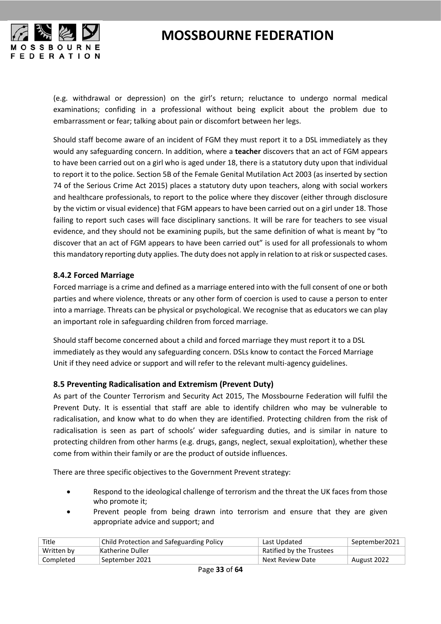



(e.g. withdrawal or depression) on the girl's return; reluctance to undergo normal medical examinations; confiding in a professional without being explicit about the problem due to embarrassment or fear; talking about pain or discomfort between her legs.

Should staff become aware of an incident of FGM they must report it to a DSL immediately as they would any safeguarding concern. In addition, where a **teacher** discovers that an act of FGM appears to have been carried out on a girl who is aged under 18, there is a statutory duty upon that individual to report it to the police. Section 5B of the Female Genital Mutilation Act 2003 (as inserted by section 74 of the Serious Crime Act 2015) places a statutory duty upon teachers, along with social workers and healthcare professionals, to report to the police where they discover (either through disclosure by the victim or visual evidence) that FGM appears to have been carried out on a girl under 18. Those failing to report such cases will face disciplinary sanctions. It will be rare for teachers to see visual evidence, and they should not be examining pupils, but the same definition of what is meant by "to discover that an act of FGM appears to have been carried out" is used for all professionals to whom this mandatory reporting duty applies. The duty does not apply in relation to at risk or suspected cases.

#### <span id="page-32-0"></span>**8.4.2 Forced Marriage**

Forced marriage is a crime and defined as a marriage entered into with the full consent of one or both parties and where violence, threats or any other form of coercion is used to cause a person to enter into a marriage. Threats can be physical or psychological. We recognise that as educators we can play an important role in safeguarding children from forced marriage.

Should staff become concerned about a child and forced marriage they must report it to a DSL immediately as they would any safeguarding concern. DSLs know to contact the Forced Marriage Unit if they need advice or support and will refer to the relevant multi-agency guidelines.

#### <span id="page-32-1"></span>**8.5 Preventing Radicalisation and Extremism (Prevent Duty)**

As part of the Counter Terrorism and Security Act 2015, The Mossbourne Federation will fulfil the Prevent Duty. It is essential that staff are able to identify children who may be vulnerable to radicalisation, and know what to do when they are identified. Protecting children from the risk of radicalisation is seen as part of schools' wider safeguarding duties, and is similar in nature to protecting children from other harms (e.g. drugs, gangs, neglect, sexual exploitation), whether these come from within their family or are the product of outside influences.

There are three specific objectives to the Government Prevent strategy:

- Respond to the ideological challenge of terrorism and the threat the UK faces from those who promote it;
- Prevent people from being drawn into terrorism and ensure that they are given appropriate advice and support; and

| Title      | <b>Child Protection and Safeguarding Policy</b> | Last Updated             | September2021 |
|------------|-------------------------------------------------|--------------------------|---------------|
| Written by | Katherine Duller                                | Ratified by the Trustees |               |
| Completed  | September 2021                                  | Next Review Date         | August 2022   |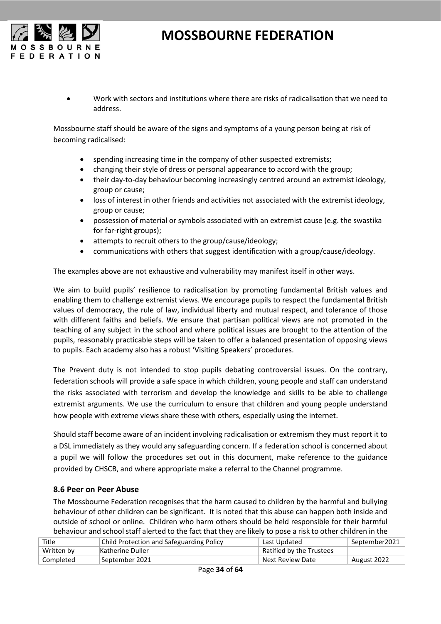

• Work with sectors and institutions where there are risks of radicalisation that we need to address.

Mossbourne staff should be aware of the signs and symptoms of a young person being at risk of becoming radicalised:

- spending increasing time in the company of other suspected extremists;
- changing their style of dress or personal appearance to accord with the group;
- their day-to-day behaviour becoming increasingly centred around an extremist ideology, group or cause;
- loss of interest in other friends and activities not associated with the extremist ideology, group or cause;
- possession of material or symbols associated with an extremist cause (e.g. the swastika for far-right groups);
- attempts to recruit others to the group/cause/ideology;
- communications with others that suggest identification with a group/cause/ideology.

The examples above are not exhaustive and vulnerability may manifest itself in other ways.

We aim to build pupils' resilience to radicalisation by [promoting fundamental British values](https://www.gov.uk/government/uploads/system/uploads/attachment_data/file/380595/SMSC_Guidance_Maintained_Schools.pdf) and enabling them to challenge extremist views. We encourage pupils to respect the fundamental British values of democracy, the rule of law, individual liberty and mutual respect, and tolerance of those with different faiths and beliefs. We ensure that partisan political views are not promoted in the teaching of any subject in the school and where political issues are brought to the attention of the pupils, reasonably practicable steps will be taken to offer a balanced presentation of opposing views to pupils. Each academy also has a robust 'Visiting Speakers' procedures.

The Prevent duty is not intended to stop pupils debating controversial issues. On the contrary, federation schools will provide a safe space in which children, young people and staff can understand the risks associated with terrorism and develop the knowledge and skills to be able to challenge extremist arguments. We use the curriculum to ensure that children and young people understand how people with extreme views share these with others, especially using the internet.

Should staff become aware of an incident involving radicalisation or extremism they must report it to a DSL immediately as they would any safeguarding concern. If a federation school is concerned about a pupil we will follow the procedures set out in this document, make reference to the guidance provided by CHSCB, and where appropriate make a referral to the Channel programme.

#### <span id="page-33-0"></span>**8.6 Peer on Peer Abuse**

The Mossbourne Federation recognises that the harm caused to children by the harmful and bullying behaviour of other children can be significant. It is noted that this abuse can happen both inside and outside of school or online. Children who harm others should be held responsible for their harmful behaviour and school staff alerted to the fact that they are likely to pose a risk to other children in the

| Title      | Child Protection and Safeguarding Policy | Last Updated             | September2021 |
|------------|------------------------------------------|--------------------------|---------------|
| Written by | Katherine Duller                         | Ratified by the Trustees |               |
| Completed  | September 2021                           | Next Review Date         | August 2022   |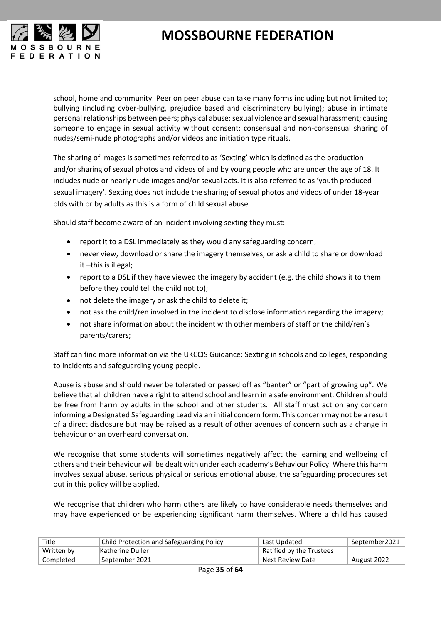

school, home and community. Peer on peer abuse can take many forms including but not limited to; bullying (including cyber-bullying, prejudice based and discriminatory bullying); abuse in intimate personal relationships between peers; physical abuse; sexual violence and sexual harassment; causing someone to engage in sexual activity without consent; consensual and non-consensual sharing of nudes/semi-nude photographs and/or videos and initiation type rituals.

The sharing of images is sometimes referred to as 'Sexting' which is defined as the production and/or sharing of sexual photos and videos of and by young people who are under the age of 18. It includes nude or nearly nude images and/or sexual acts. It is also referred to as 'youth produced sexual imagery'. Sexting does not include the sharing of sexual photos and videos of under 18-year olds with or by adults as this is a form of child sexual abuse.

Should staff become aware of an incident involving sexting they must:

- report it to a DSL immediately as they would any safeguarding concern;
- never view, download or share the imagery themselves, or ask a child to share or download it –this is illegal;
- report to a DSL if they have viewed the imagery by accident (e.g. the child shows it to them before they could tell the child not to);
- not delete the imagery or ask the child to delete it;
- not ask the child/ren involved in the incident to disclose information regarding the imagery;
- not share information about the incident with other members of staff or the child/ren's parents/carers;

Staff can find more information via the UKCCIS Guidance: Sexting in schools and colleges, responding to incidents and safeguarding young people.

Abuse is abuse and should never be tolerated or passed off as "banter" or "part of growing up". We believe that all children have a right to attend school and learn in a safe environment. Children should be free from harm by adults in the school and other students. All staff must act on any concern informing a Designated Safeguarding Lead via an initial concern form. This concern may not be a result of a direct disclosure but may be raised as a result of other avenues of concern such as a change in behaviour or an overheard conversation.

We recognise that some students will sometimes negatively affect the learning and wellbeing of others and their behaviour will be dealt with under each academy's Behaviour Policy. Where this harm involves sexual abuse, serious physical or serious emotional abuse, the safeguarding procedures set out in this policy will be applied.

We recognise that children who harm others are likely to have considerable needs themselves and may have experienced or be experiencing significant harm themselves. Where a child has caused

| Title      | <b>Child Protection and Safeguarding Policy</b> | Last Updated             | September2021 |
|------------|-------------------------------------------------|--------------------------|---------------|
| Written by | Katherine Duller                                | Ratified by the Trustees |               |
| Completed  | ' September 2021                                | Next Review Date         | August 2022   |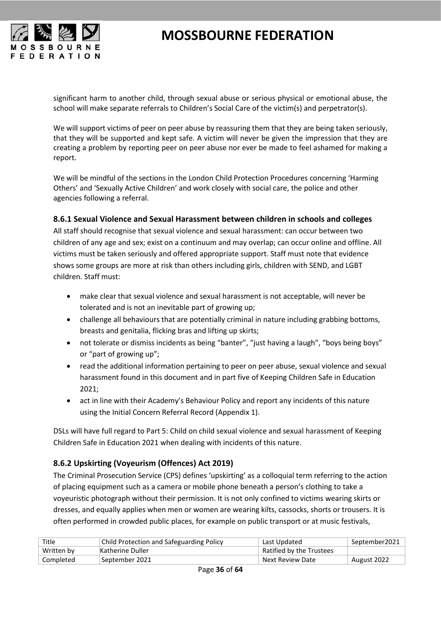

significant harm to another child, through sexual abuse or serious physical or emotional abuse, the school will make separate referrals to Children's Social Care of the victim(s) and perpetrator(s).

We will support victims of peer on peer abuse by reassuring them that they are being taken seriously, that they will be supported and kept safe. A victim will never be given the impression that they are creating a problem by reporting peer on peer abuse nor ever be made to feel ashamed for making a report.

We will be mindful of the sections in the London Child Protection Procedures concerning 'Harming Others' and 'Sexually Active Children' and work closely with social care, the police and other agencies following a referral.

#### <span id="page-35-0"></span>**8.6.1 Sexual Violence and Sexual Harassment between children in schools and colleges**

All staff should recognise that sexual violence and sexual harassment: can occur between two children of any age and sex; exist on a continuum and may overlap; can occur online and offline. All victims must be taken seriously and offered appropriate support. Staff must note that evidence shows some groups are more at risk than others including girls, children with SEND, and LGBT children. Staff must:

- make clear that sexual violence and sexual harassment is not acceptable, will never be tolerated and is not an inevitable part of growing up;
- challenge all behaviours that are potentially criminal in nature including grabbing bottoms, breasts and genitalia, flicking bras and lifting up skirts;
- not tolerate or dismiss incidents as being "banter", "just having a laugh", "boys being boys" or "part of growing up";
- read the additional information pertaining to peer on peer abuse, sexual violence and sexual harassment found in this document and in part five of Keeping Children Safe in Education 2021;
- act in line with their Academy's Behaviour Policy and report any incidents of this nature using the Initial Concern Referral Record (Appendix 1).

DSLs will have full regard to Part 5: Child on child sexual violence and sexual harassment of Keeping Children Safe in Education 2021 when dealing with incidents of this nature.

#### <span id="page-35-1"></span>**8.6.2 Upskirting (Voyeurism (Offences) Act 2019)**

The Criminal Prosecution Service (CPS) defines 'upskirting' as a colloquial term referring to the action of placing equipment such as a camera or mobile phone beneath a person's clothing to take a voyeuristic photograph without their permission. It is not only confined to victims wearing skirts or dresses, and equally applies when men or women are wearing kilts, cassocks, shorts or trousers. It is often performed in crowded public places, for example on public transport or at music festivals,

| Title      | Child Protection and Safeguarding Policy | Last Updated             | September2021 |
|------------|------------------------------------------|--------------------------|---------------|
| Written by | Katherine Duller                         | Ratified by the Trustees |               |
| Completed  | September 2021                           | Next Review Date         | August 2022   |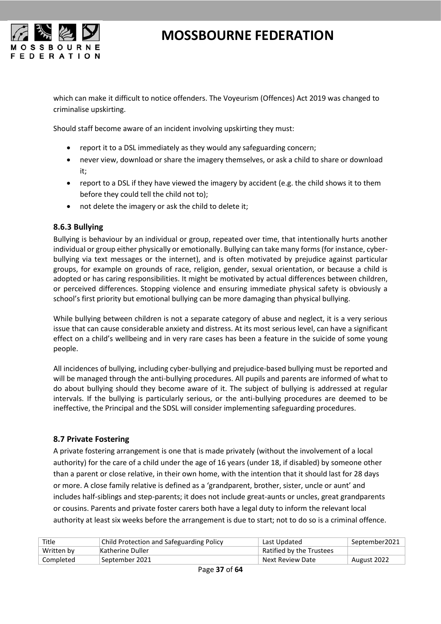

which can make it difficult to notice offenders. The Voyeurism (Offences) Act 2019 was changed to criminalise upskirting.

Should staff become aware of an incident involving upskirting they must:

- report it to a DSL immediately as they would any safeguarding concern;
- never view, download or share the imagery themselves, or ask a child to share or download it;
- report to a DSL if they have viewed the imagery by accident (e.g. the child shows it to them before they could tell the child not to);
- not delete the imagery or ask the child to delete it;

#### <span id="page-36-0"></span>**8.6.3 Bullying**

Bullying is behaviour by an individual or group, repeated over time, that intentionally hurts another individual or group either physically or emotionally. Bullying can take many forms (for instance, cyberbullying via text messages or the internet), and is often motivated by prejudice against particular groups, for example on grounds of race, religion, gender, sexual orientation, or because a child is adopted or has caring responsibilities. It might be motivated by actual differences between children, or perceived differences. Stopping violence and ensuring immediate physical safety is obviously a school's first priority but emotional bullying can be more damaging than physical bullying.

While bullying between children is not a separate category of abuse and neglect, it is a very serious issue that can cause considerable anxiety and distress. At its most serious level, can have a significant effect on a child's wellbeing and in very rare cases has been a feature in the suicide of some young people.

All incidences of bullying, including cyber-bullying and prejudice-based bullying must be reported and will be managed through the anti-bullying procedures. All pupils and parents are informed of what to do about bullying should they become aware of it. The subject of bullying is addressed at regular intervals. If the bullying is particularly serious, or the anti-bullying procedures are deemed to be ineffective, the Principal and the SDSL will consider implementing safeguarding procedures.

#### <span id="page-36-1"></span>**8.7 Private Fostering**

A private fostering arrangement is one that is made privately (without the involvement of a local authority) for the care of a child under the age of 16 years (under 18, if disabled) by someone other than a parent or close relative, in their own home, with the intention that it should last for 28 days or more. A close family relative is defined as a 'grandparent, brother, sister, uncle or aunt' and includes half-siblings and step-parents; it does not include great-aunts or uncles, great grandparents or cousins. Parents and private foster carers both have a legal duty to inform the relevant local authority at least six weeks before the arrangement is due to start; not to do so is a criminal offence.

| Title      | Child Protection and Safeguarding Policy | Last Updated             | September2021 |
|------------|------------------------------------------|--------------------------|---------------|
| Written by | Katherine Duller                         | Ratified by the Trustees |               |
| Completed  | September 2021                           | Next Review Date         | August 2022   |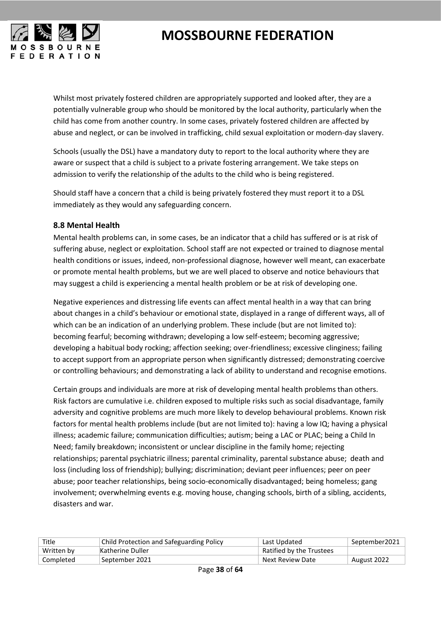

Whilst most privately fostered children are appropriately supported and looked after, they are a potentially vulnerable group who should be monitored by the local authority, particularly when the child has come from another country. In some cases, privately fostered children are affected by abuse and neglect, or can be involved in trafficking, child sexual exploitation or modern-day slavery.

Schools (usually the DSL) have a mandatory duty to report to the local authority where they are aware or suspect that a child is subject to a private fostering arrangement. We take steps on admission to verify the relationship of the adults to the child who is being registered.

Should staff have a concern that a child is being privately fostered they must report it to a DSL immediately as they would any safeguarding concern.

#### <span id="page-37-0"></span>**8.8 Mental Health**

Mental health problems can, in some cases, be an indicator that a child has suffered or is at risk of suffering abuse, neglect or exploitation. School staff are not expected or trained to diagnose mental health conditions or issues, indeed, non-professional diagnose, however well meant, can exacerbate or promote mental health problems, but we are well placed to observe and notice behaviours that may suggest a child is experiencing a mental health problem or be at risk of developing one.

Negative experiences and distressing life events can affect mental health in a way that can bring about changes in a child's behaviour or emotional state, displayed in a range of different ways, all of which can be an indication of an underlying problem. These include (but are not limited to): becoming fearful; becoming withdrawn; developing a low self-esteem; becoming aggressive; developing a habitual body rocking; affection seeking; over-friendliness; excessive clinginess; failing to accept support from an appropriate person when significantly distressed; demonstrating coercive or controlling behaviours; and demonstrating a lack of ability to understand and recognise emotions.

Certain groups and individuals are more at risk of developing mental health problems than others. Risk factors are cumulative i.e. children exposed to multiple risks such as social disadvantage, family adversity and cognitive problems are much more likely to develop behavioural problems. Known risk factors for mental health problems include (but are not limited to): having a low IQ; having a physical illness; academic failure; communication difficulties; autism; being a LAC or PLAC; being a Child In Need; family breakdown; inconsistent or unclear discipline in the family home; rejecting relationships; parental psychiatric illness; parental criminality, parental substance abuse; death and loss (including loss of friendship); bullying; discrimination; deviant peer influences; peer on peer abuse; poor teacher relationships, being socio-economically disadvantaged; being homeless; gang involvement; overwhelming events e.g. moving house, changing schools, birth of a sibling, accidents, disasters and war.

| Title      | Child Protection and Safeguarding Policy | Last Updated             | September2021 |
|------------|------------------------------------------|--------------------------|---------------|
| Written by | Katherine Duller                         | Ratified by the Trustees |               |
| Completed  | September 2021                           | Next Review Date         | August 2022   |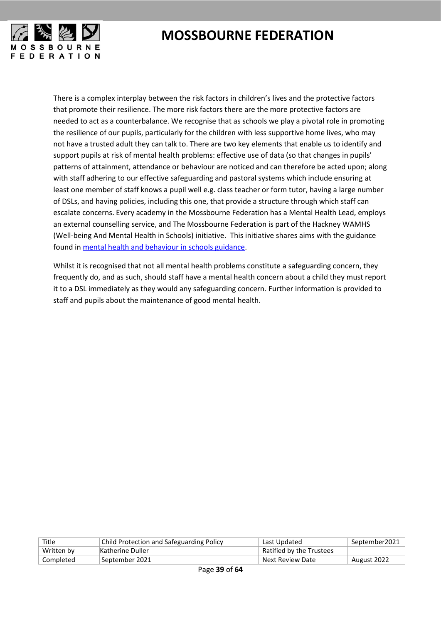

There is a complex interplay between the risk factors in children's lives and the protective factors that promote their resilience. The more risk factors there are the more protective factors are needed to act as a counterbalance. We recognise that as schools we play a pivotal role in promoting the resilience of our pupils, particularly for the children with less supportive home lives, who may not have a trusted adult they can talk to. There are two key elements that enable us to identify and support pupils at risk of mental health problems: effective use of data (so that changes in pupils' patterns of attainment, attendance or behaviour are noticed and can therefore be acted upon; along with staff adhering to our effective safeguarding and pastoral systems which include ensuring at least one member of staff knows a pupil well e.g. class teacher or form tutor, having a large number of DSLs, and having policies, including this one, that provide a structure through which staff can escalate concerns. Every academy in the Mossbourne Federation has a Mental Health Lead, employs an external counselling service, and The Mossbourne Federation is part of the Hackney WAMHS (Well-being And Mental Health in Schools) initiative. This initiative shares aims with the guidance found in [mental health and behaviour in schools guidance.](https://www.gov.uk/government/publications/mental-health-and-behaviour-in-schools--2)

Whilst it is recognised that not all mental health problems constitute a safeguarding concern, they frequently do, and as such, should staff have a mental health concern about a child they must report it to a DSL immediately as they would any safeguarding concern. Further information is provided to staff and pupils about the maintenance of good mental health.

| Title      | Child Protection and Safeguarding Policy | Last Updated             | September2021 |
|------------|------------------------------------------|--------------------------|---------------|
| Written by | Katherine Duller                         | Ratified by the Trustees |               |
| Completed  | September 2021                           | Next Review Date         | August 2022   |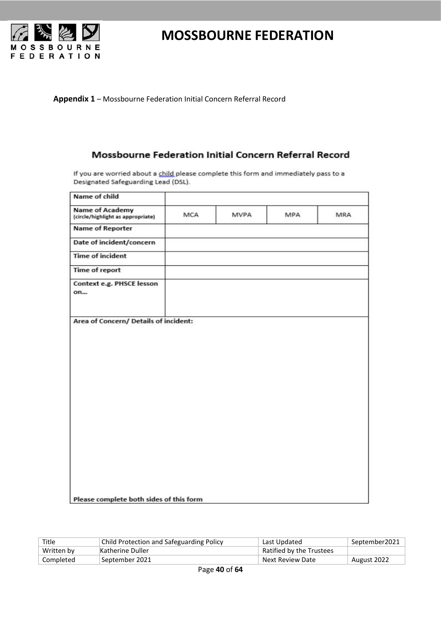

**Appendix 1** – Mossbourne Federation Initial Concern Referral Record

#### Mossbourne Federation Initial Concern Referral Record

If you are worried about a child please complete this form and immediately pass to a Designated Safeguarding Lead (DSL).

| Name of child                                               |     |             |     |     |
|-------------------------------------------------------------|-----|-------------|-----|-----|
| <b>Name of Academy</b><br>(circle/highlight as appropriate) | MCA | <b>MVPA</b> | MPA | MRA |
| <b>Name of Reporter</b>                                     |     |             |     |     |
| Date of incident/concern                                    |     |             |     |     |
| <b>Time of incident</b>                                     |     |             |     |     |
| Time of report                                              |     |             |     |     |
| Context e.g. PHSCE lesson<br>on                             |     |             |     |     |
|                                                             |     |             |     |     |
|                                                             |     |             |     |     |
|                                                             |     |             |     |     |
|                                                             |     |             |     |     |
| Please complete both sides of this form                     |     |             |     |     |

| Title      | Child Protection and Safeguarding Policy | Last Updated             | September2021 |
|------------|------------------------------------------|--------------------------|---------------|
| Written by | Katherine Duller                         | Ratified by the Trustees |               |
| Completed  | September 2021                           | Next Review Date         | August 2022   |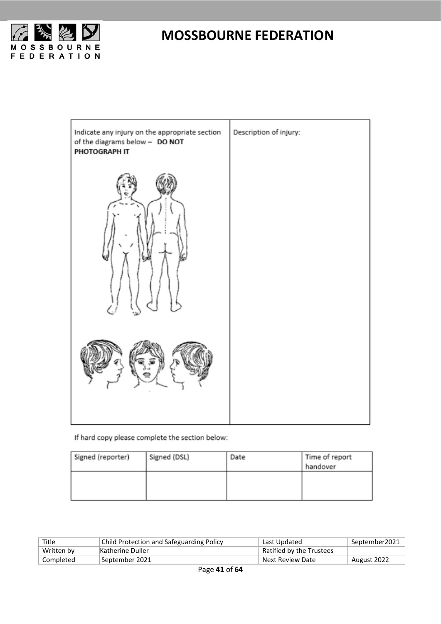



If hard copy please complete the section below:

| Signed (reporter) | Signed (DSL) | Date | Time of report |
|-------------------|--------------|------|----------------|
|                   |              |      | handover       |
|                   |              |      |                |
|                   |              |      |                |
|                   |              |      |                |

| Title      | Child Protection and Safeguarding Policy | Last Updated             | September2021 |
|------------|------------------------------------------|--------------------------|---------------|
| Written by | Katherine Duller                         | Ratified by the Trustees |               |
| Completed  | September 2021                           | Next Review Date         | August 2022   |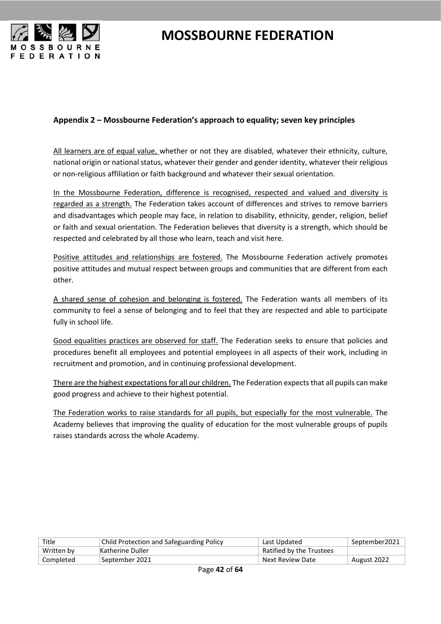

#### <span id="page-41-0"></span>**Appendix 2 – Mossbourne Federation's approach to equality; seven key principles**

All learners are of equal value, whether or not they are disabled, whatever their ethnicity, culture, national origin or national status, whatever their gender and gender identity, whatever their religious or non-religious affiliation or faith background and whatever their sexual orientation.

In the Mossbourne Federation, difference is recognised, respected and valued and diversity is regarded as a strength. The Federation takes account of differences and strives to remove barriers and disadvantages which people may face, in relation to disability, ethnicity, gender, religion, belief or faith and sexual orientation. The Federation believes that diversity is a strength, which should be respected and celebrated by all those who learn, teach and visit here.

Positive attitudes and relationships are fostered. The Mossbourne Federation actively promotes positive attitudes and mutual respect between groups and communities that are different from each other.

A shared sense of cohesion and belonging is fostered. The Federation wants all members of its community to feel a sense of belonging and to feel that they are respected and able to participate fully in school life.

Good equalities practices are observed for staff. The Federation seeks to ensure that policies and procedures benefit all employees and potential employees in all aspects of their work, including in recruitment and promotion, and in continuing professional development.

There are the highest expectations for all our children. The Federation expects that all pupils can make good progress and achieve to their highest potential.

The Federation works to raise standards for all pupils, but especially for the most vulnerable. The Academy believes that improving the quality of education for the most vulnerable groups of pupils raises standards across the whole Academy.

| Title      | <b>Child Protection and Safeguarding Policy</b> | Last Updated             | September2021 |
|------------|-------------------------------------------------|--------------------------|---------------|
| Written by | Katherine Duller                                | Ratified by the Trustees |               |
| Completed  | September 2021                                  | Next Review Date         | August 2022   |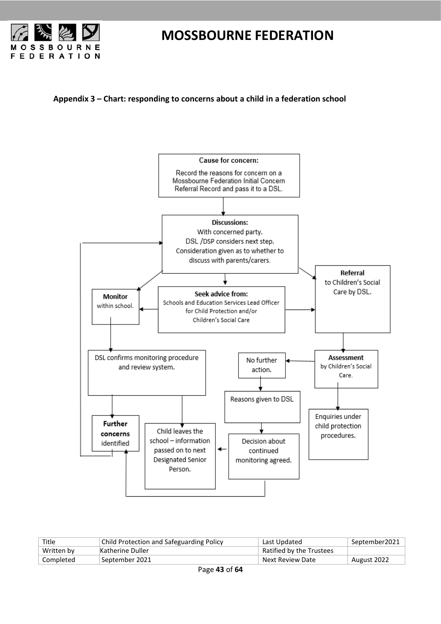

<span id="page-42-0"></span>**Appendix 3 – Chart: responding to concerns about a child in a federation school**



| Title      | <b>Child Protection and Safeguarding Policy</b> | Last Updated             | September2021 |
|------------|-------------------------------------------------|--------------------------|---------------|
| Written by | Katherine Duller                                | Ratified by the Trustees |               |
| Completed  | September 2021                                  | Next Review Date         | August 2022   |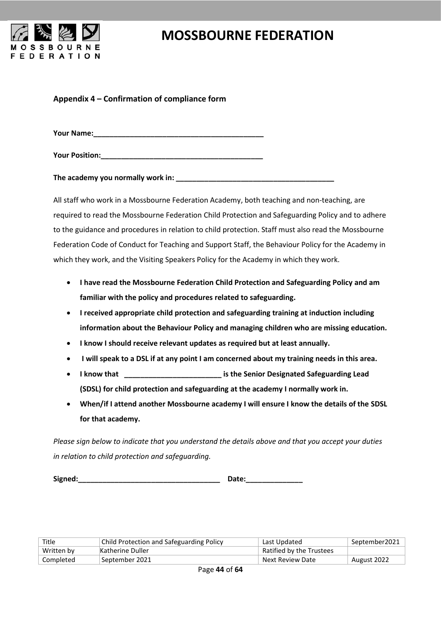

#### <span id="page-43-0"></span>**Appendix 4 – Confirmation of compliance form**

**Your Name:\_\_\_\_\_\_\_\_\_\_\_\_\_\_\_\_\_\_\_\_\_\_\_\_\_\_\_\_\_\_\_\_\_\_\_\_\_\_\_\_\_\_**

**Your Position:\_\_\_\_\_\_\_\_\_\_\_\_\_\_\_\_\_\_\_\_\_\_\_\_\_\_\_\_\_\_\_\_\_\_\_\_\_\_\_\_**

**The academy you normally work in:**  $\blacksquare$ 

All staff who work in a Mossbourne Federation Academy, both teaching and non-teaching, are required to read the Mossbourne Federation Child Protection and Safeguarding Policy and to adhere to the guidance and procedures in relation to child protection. Staff must also read the Mossbourne Federation Code of Conduct for Teaching and Support Staff, the Behaviour Policy for the Academy in which they work, and the Visiting Speakers Policy for the Academy in which they work.

- **I have read the Mossbourne Federation Child Protection and Safeguarding Policy and am familiar with the policy and procedures related to safeguarding.**
- **I received appropriate child protection and safeguarding training at induction including information about the Behaviour Policy and managing children who are missing education.**
- **I know I should receive relevant updates as required but at least annually.**
- **I will speak to a DSL if at any point I am concerned about my training needs in this area.**
- **I know that \_\_\_\_\_\_\_\_\_\_\_\_\_\_\_\_\_\_\_\_\_\_\_\_ is the Senior Designated Safeguarding Lead (SDSL) for child protection and safeguarding at the academy I normally work in.**
- **When/if I attend another Mossbourne academy I will ensure I know the details of the SDSL for that academy.**

*Please sign below to indicate that you understand the details above and that you accept your duties in relation to child protection and safeguarding.*

**Signed:\_\_\_\_\_\_\_\_\_\_\_\_\_\_\_\_\_\_\_\_\_\_\_\_\_\_\_\_\_\_\_\_\_\_\_ Date:\_\_\_\_\_\_\_\_\_\_\_\_\_\_**

| Title      | Child Protection and Safeguarding Policy | Last Updated             | September2021 |
|------------|------------------------------------------|--------------------------|---------------|
| Written by | Katherine Duller                         | Ratified by the Trustees |               |
| Completed  | September 2021                           | Next Review Date         | August 2022   |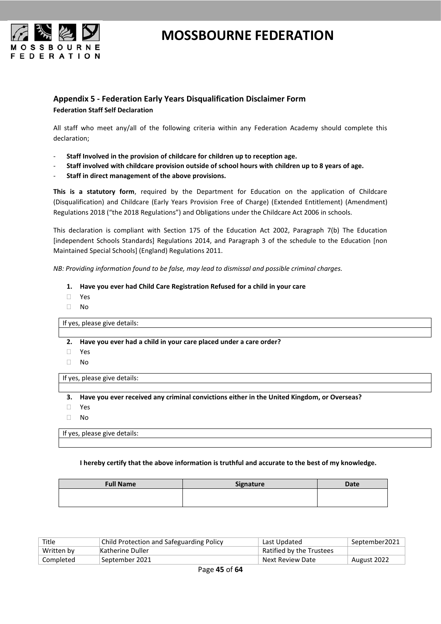

#### <span id="page-44-0"></span>**Appendix 5 - Federation Early Years Disqualification Disclaimer Form Federation Staff Self Declaration**

All staff who meet any/all of the following criteria within any Federation Academy should complete this declaration;

- **Staff Involved in the provision of childcare for children up to reception age.**
- **Staff involved with childcare provision outside of school hours with children up to 8 years of age.**
- **Staff in direct management of the above provisions.**

**This is a statutory form**, required by the Department for Education on the application of Childcare (Disqualification) and Childcare (Early Years Provision Free of Charge) (Extended Entitlement) (Amendment) Regulations 2018 ("the 2018 Regulations") and Obligations under the Childcare Act 2006 in schools.

This declaration is compliant with Section 175 of the Education Act 2002, Paragraph 7(b) The Education [independent Schools Standards] Regulations 2014, and Paragraph 3 of the schedule to the Education [non Maintained Special Schools] (England) Regulations 2011.

*NB: Providing information found to be false, may lead to dismissal and possible criminal charges.* 

- **1. Have you ever had Child Care Registration Refused for a child in your care**
- Yes
- No

If yes, please give details:

- **2. Have you ever had a child in your care placed under a care order?**
- Yes
- $\neg$  No

If yes, please give details:

- **3. Have you ever received any criminal convictions either in the United Kingdom, or Overseas?**
- Yes
- No

If yes, please give details:

**I hereby certify that the above information is truthful and accurate to the best of my knowledge.** 

| <b>Full Name</b> | Signature | Date |
|------------------|-----------|------|
|                  |           |      |
|                  |           |      |

| Title      | Child Protection and Safeguarding Policy | Last Updated             | September2021 |
|------------|------------------------------------------|--------------------------|---------------|
| Written by | Katherine Duller                         | Ratified by the Trustees |               |
| Completed  | September 2021                           | Next Review Date         | August 2022   |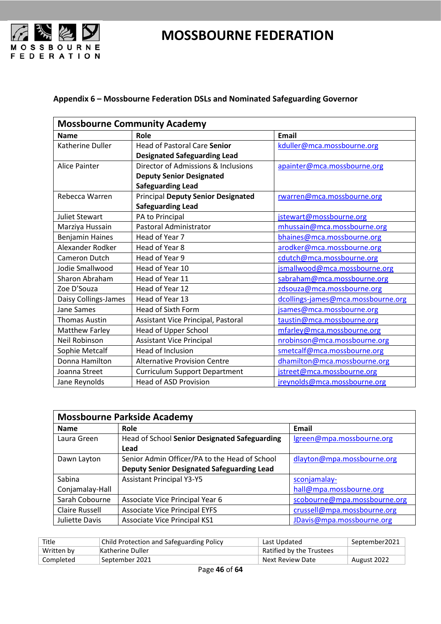



#### <span id="page-45-0"></span>**Appendix 6 – Mossbourne Federation DSLs and Nominated Safeguarding Governor**

| <b>Mossbourne Community Academy</b> |                                           |                                    |  |
|-------------------------------------|-------------------------------------------|------------------------------------|--|
| <b>Name</b>                         | Role                                      | <b>Email</b>                       |  |
| Katherine Duller                    | <b>Head of Pastoral Care Senior</b>       | kduller@mca.mossbourne.org         |  |
|                                     | <b>Designated Safeguarding Lead</b>       |                                    |  |
| <b>Alice Painter</b>                | Director of Admissions & Inclusions       | apainter@mca.mossbourne.org        |  |
|                                     | <b>Deputy Senior Designated</b>           |                                    |  |
|                                     | <b>Safeguarding Lead</b>                  |                                    |  |
| Rebecca Warren                      | <b>Principal Deputy Senior Designated</b> | rwarren@mca.mossbourne.org         |  |
|                                     | <b>Safeguarding Lead</b>                  |                                    |  |
| <b>Juliet Stewart</b>               | PA to Principal                           | jstewart@mossbourne.org            |  |
| Marziya Hussain                     | Pastoral Administrator                    | mhussain@mca.mossbourne.org        |  |
| <b>Benjamin Haines</b>              | Head of Year 7                            | bhaines@mca.mossbourne.org         |  |
| Alexander Rodker                    | Head of Year 8                            | arodker@mca.mossbourne.org         |  |
| <b>Cameron Dutch</b>                | Head of Year 9                            | cdutch@mca.mossbourne.org          |  |
| Jodie Smallwood                     | Head of Year 10                           | jsmallwood@mca.mossbourne.org      |  |
| Sharon Abraham                      | Head of Year 11                           | sabraham@mca.mossbourne.org        |  |
| Zoe D'Souza                         | Head of Year 12                           | zdsouza@mca.mossbourne.org         |  |
| Daisy Collings-James                | Head of Year 13                           | dcollings-james@mca.mossbourne.org |  |
| Jane Sames                          | Head of Sixth Form                        | jsames@mca.mossbourne.org          |  |
| <b>Thomas Austin</b>                | Assistant Vice Principal, Pastoral        | taustin@mca.mossbourne.org         |  |
| <b>Matthew Farley</b>               | Head of Upper School                      | mfarley@mca.mossbourne.org         |  |
| Neil Robinson                       | <b>Assistant Vice Principal</b>           | nrobinson@mca.mossbourne.org       |  |
| Sophie Metcalf                      | Head of Inclusion                         | smetcalf@mca.mossbourne.org        |  |
| Donna Hamilton                      | <b>Alternative Provision Centre</b>       | dhamilton@mca.mossbourne.org       |  |
| Joanna Street                       | <b>Curriculum Support Department</b>      | jstreet@mca.mossbourne.org         |  |
| Jane Reynolds                       | <b>Head of ASD Provision</b>              | jreynolds@mca.mossbourne.org       |  |

| <b>Mossbourne Parkside Academy</b> |                                                   |                              |  |
|------------------------------------|---------------------------------------------------|------------------------------|--|
| <b>Name</b>                        | Role                                              | Email                        |  |
| Laura Green                        | Head of School Senior Designated Safeguarding     | lgreen@mpa.mossbourne.org    |  |
|                                    | Lead                                              |                              |  |
| Dawn Layton                        | Senior Admin Officer/PA to the Head of School     | dlayton@mpa.mossbourne.org   |  |
|                                    | <b>Deputy Senior Designated Safeguarding Lead</b> |                              |  |
| Sabina                             | <b>Assistant Principal Y3-Y5</b>                  | sconjamalay-                 |  |
| Conjamalay-Hall                    |                                                   | hall@mpa.mossbourne.org      |  |
| Sarah Cobourne                     | Associate Vice Principal Year 6                   | scobourne@mpa.mossbourne.org |  |
| Claire Russell                     | <b>Associate Vice Principal EYFS</b>              | crussell@mpa.mossbourne.org  |  |
| Juliette Davis                     | <b>Associate Vice Principal KS1</b>               | JDavis@mpa.mossbourne.org    |  |

| Title      | Child Protection and Safeguarding Policy | Last Updated             | September2021 |
|------------|------------------------------------------|--------------------------|---------------|
| Written by | Katherine Duller                         | Ratified by the Trustees |               |
| Completed  | September 2021                           | Next Review Date         | August 2022   |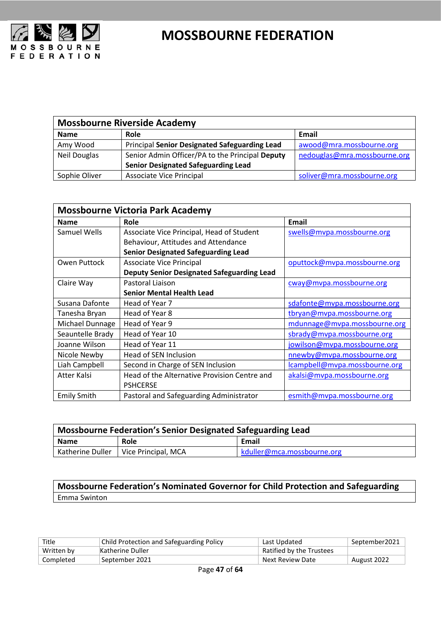

| <b>Mossbourne Riverside Academy</b> |                                                      |                              |  |
|-------------------------------------|------------------------------------------------------|------------------------------|--|
| <b>Name</b>                         | Role                                                 | Email                        |  |
| Amy Wood                            | <b>Principal Senior Designated Safeguarding Lead</b> | awood@mra.mossbourne.org     |  |
| <b>Neil Douglas</b>                 | Senior Admin Officer/PA to the Principal Deputy      | nedouglas@mra.mossbourne.org |  |
|                                     | <b>Senior Designated Safeguarding Lead</b>           |                              |  |
| Sophie Oliver                       | <b>Associate Vice Principal</b>                      | soliver@mra.mossbourne.org   |  |

| <b>Mossbourne Victoria Park Academy</b> |                                                   |                               |  |
|-----------------------------------------|---------------------------------------------------|-------------------------------|--|
| <b>Name</b>                             | Role                                              | <b>Email</b>                  |  |
| Samuel Wells                            | Associate Vice Principal, Head of Student         | swells@mvpa.mossbourne.org    |  |
|                                         | Behaviour, Attitudes and Attendance               |                               |  |
|                                         | <b>Senior Designated Safeguarding Lead</b>        |                               |  |
| Owen Puttock                            | Associate Vice Principal                          | oputtock@mvpa.mossbourne.org  |  |
|                                         | <b>Deputy Senior Designated Safeguarding Lead</b> |                               |  |
| Claire Way                              | Pastoral Liaison                                  | cway@mvpa.mossbourne.org      |  |
|                                         | <b>Senior Mental Health Lead</b>                  |                               |  |
| Susana Dafonte                          | Head of Year 7                                    | sdafonte@mvpa.mossbourne.org  |  |
| Tanesha Bryan                           | Head of Year 8                                    | tbryan@mvpa.mossbourne.org    |  |
| Michael Dunnage                         | Head of Year 9                                    | mdunnage@mvpa.mossbourne.org  |  |
| Seauntelle Brady                        | Head of Year 10                                   | sbrady@mvpa.mossbourne.org    |  |
| Joanne Wilson                           | Head of Year 11                                   | jowilson@mvpa.mossbourne.org  |  |
| Nicole Newby                            | Head of SEN Inclusion                             | nnewby@mvpa.mossbourne.org    |  |
| Liah Campbell                           | Second in Charge of SEN Inclusion                 | lcampbell@mvpa.mossbourne.org |  |
| Atter Kalsi                             | Head of the Alternative Provision Centre and      | akalsi@mvpa.mossbourne.org    |  |
|                                         | <b>PSHCERSE</b>                                   |                               |  |
| <b>Emily Smith</b>                      | Pastoral and Safeguarding Administrator           | esmith@mvpa.mossbourne.org    |  |

| Mossbourne Federation's Senior Designated Safeguarding Lead |                                        |                            |
|-------------------------------------------------------------|----------------------------------------|----------------------------|
| <b>Name</b>                                                 | Role                                   | Email                      |
|                                                             | Katherine Duller   Vice Principal, MCA | kduller@mca.mossbourne.org |

**Mossbourne Federation's Nominated Governor for Child Protection and Safeguarding** Emma Swinton

| Title      | <b>Child Protection and Safeguarding Policy</b> | Last Updated             | September2021 |
|------------|-------------------------------------------------|--------------------------|---------------|
| Written by | Katherine Duller                                | Ratified by the Trustees |               |
| Completed  | September 2021                                  | Next Review Date         | August 2022   |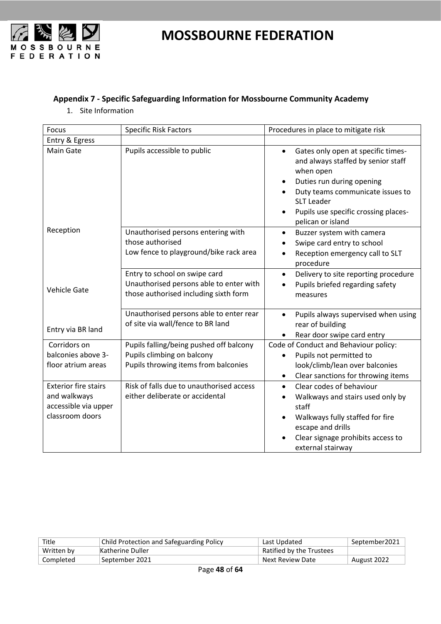

#### <span id="page-47-0"></span>**Appendix 7 - Specific Safeguarding Information for Mossbourne Community Academy**

1. Site Information

| Focus                                                                                  | <b>Specific Risk Factors</b>                                                                                      | Procedures in place to mitigate risk                                                                                                                                                                                                                                            |
|----------------------------------------------------------------------------------------|-------------------------------------------------------------------------------------------------------------------|---------------------------------------------------------------------------------------------------------------------------------------------------------------------------------------------------------------------------------------------------------------------------------|
| Entry & Egress                                                                         |                                                                                                                   |                                                                                                                                                                                                                                                                                 |
| Main Gate                                                                              | Pupils accessible to public                                                                                       | Gates only open at specific times-<br>$\bullet$<br>and always staffed by senior staff<br>when open<br>Duties run during opening<br>$\bullet$<br>Duty teams communicate issues to<br><b>SLT Leader</b><br>Pupils use specific crossing places-<br>$\bullet$<br>pelican or island |
| Reception                                                                              | Unauthorised persons entering with<br>those authorised<br>Low fence to playground/bike rack area                  | Buzzer system with camera<br>$\bullet$<br>Swipe card entry to school<br>Reception emergency call to SLT<br>$\bullet$<br>procedure                                                                                                                                               |
| <b>Vehicle Gate</b>                                                                    | Entry to school on swipe card<br>Unauthorised persons able to enter with<br>those authorised including sixth form | Delivery to site reporting procedure<br>$\bullet$<br>Pupils briefed regarding safety<br>$\bullet$<br>measures                                                                                                                                                                   |
| Entry via BR land                                                                      | Unauthorised persons able to enter rear<br>of site via wall/fence to BR land                                      | Pupils always supervised when using<br>$\bullet$<br>rear of building<br>Rear door swipe card entry                                                                                                                                                                              |
| Corridors on<br>balconies above 3-<br>floor atrium areas                               | Pupils falling/being pushed off balcony<br>Pupils climbing on balcony<br>Pupils throwing items from balconies     | Code of Conduct and Behaviour policy:<br>Pupils not permitted to<br>look/climb/lean over balconies<br>Clear sanctions for throwing items<br>$\bullet$                                                                                                                           |
| <b>Exterior fire stairs</b><br>and walkways<br>accessible via upper<br>classroom doors | Risk of falls due to unauthorised access<br>either deliberate or accidental                                       | Clear codes of behaviour<br>$\bullet$<br>Walkways and stairs used only by<br>$\bullet$<br>staff<br>Walkways fully staffed for fire<br>escape and drills<br>Clear signage prohibits access to<br>external stairway                                                               |

| Title      | Child Protection and Safeguarding Policy | Last Updated             | September2021 |
|------------|------------------------------------------|--------------------------|---------------|
| Written by | Katherine Duller                         | Ratified by the Trustees |               |
| Completed  | September 2021                           | Next Review Date         | August 2022   |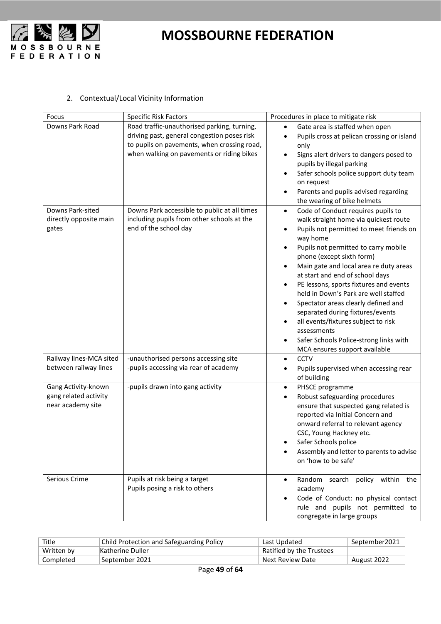

#### 2. Contextual/Local Vicinity Information

| Focus                                                             | <b>Specific Risk Factors</b>                                                                                                                                                           | Procedures in place to mitigate risk                                                                                                                                                                                                                                                                                                                                                                                                                                                                                                                                                                                                   |
|-------------------------------------------------------------------|----------------------------------------------------------------------------------------------------------------------------------------------------------------------------------------|----------------------------------------------------------------------------------------------------------------------------------------------------------------------------------------------------------------------------------------------------------------------------------------------------------------------------------------------------------------------------------------------------------------------------------------------------------------------------------------------------------------------------------------------------------------------------------------------------------------------------------------|
| Downs Park Road                                                   | Road traffic-unauthorised parking, turning,<br>driving past, general congestion poses risk<br>to pupils on pavements, when crossing road,<br>when walking on pavements or riding bikes | Gate area is staffed when open<br>$\bullet$<br>Pupils cross at pelican crossing or island<br>$\bullet$<br>only<br>Signs alert drivers to dangers posed to<br>pupils by illegal parking<br>Safer schools police support duty team<br>on request<br>Parents and pupils advised regarding<br>٠<br>the wearing of bike helmets                                                                                                                                                                                                                                                                                                             |
| Downs Park-sited<br>directly opposite main<br>gates               | Downs Park accessible to public at all times<br>including pupils from other schools at the<br>end of the school day                                                                    | Code of Conduct requires pupils to<br>$\bullet$<br>walk straight home via quickest route<br>Pupils not permitted to meet friends on<br>$\bullet$<br>way home<br>Pupils not permitted to carry mobile<br>phone (except sixth form)<br>Main gate and local area re duty areas<br>at start and end of school days<br>PE lessons, sports fixtures and events<br>$\bullet$<br>held in Down's Park are well staffed<br>Spectator areas clearly defined and<br>$\bullet$<br>separated during fixtures/events<br>all events/fixtures subject to risk<br>assessments<br>Safer Schools Police-strong links with<br>MCA ensures support available |
| Railway lines-MCA sited<br>between railway lines                  | -unauthorised persons accessing site<br>-pupils accessing via rear of academy                                                                                                          | <b>CCTV</b><br>$\bullet$<br>Pupils supervised when accessing rear<br>of building                                                                                                                                                                                                                                                                                                                                                                                                                                                                                                                                                       |
| Gang Activity-known<br>gang related activity<br>near academy site | -pupils drawn into gang activity                                                                                                                                                       | PHSCE programme<br>$\bullet$<br>Robust safeguarding procedures<br>٠<br>ensure that suspected gang related is<br>reported via Initial Concern and<br>onward referral to relevant agency<br>CSC, Young Hackney etc.<br>Safer Schools police<br>Assembly and letter to parents to advise<br>on 'how to be safe'                                                                                                                                                                                                                                                                                                                           |
| Serious Crime                                                     | Pupils at risk being a target<br>Pupils posing a risk to others                                                                                                                        | Random search policy within the<br>academy<br>Code of Conduct: no physical contact<br>rule and pupils not permitted to<br>congregate in large groups                                                                                                                                                                                                                                                                                                                                                                                                                                                                                   |

| Title      | <b>Child Protection and Safeguarding Policy</b> | Last Updated             | September2021 |
|------------|-------------------------------------------------|--------------------------|---------------|
| Written by | Katherine Duller                                | Ratified by the Trustees |               |
| Completed  | September 2021                                  | Next Review Date         | August 2022   |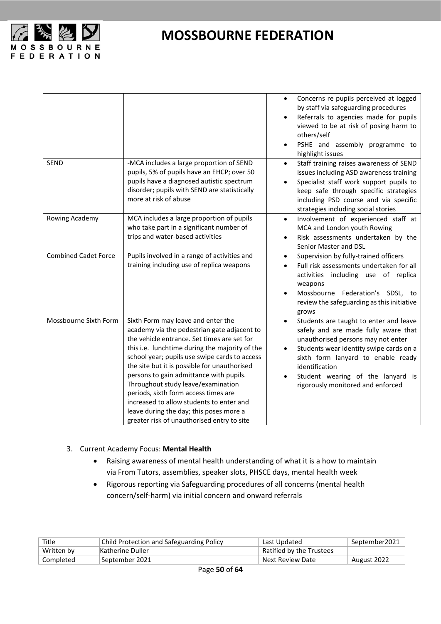

|                             |                                                                                                                                                                                                                                                                                                                                                                                                                                                                                                                                                   | Concerns re pupils perceived at logged<br>$\bullet$<br>by staff via safeguarding procedures<br>Referrals to agencies made for pupils<br>viewed to be at risk of posing harm to<br>others/self<br>PSHE and assembly programme to<br>highlight issues                                                            |
|-----------------------------|---------------------------------------------------------------------------------------------------------------------------------------------------------------------------------------------------------------------------------------------------------------------------------------------------------------------------------------------------------------------------------------------------------------------------------------------------------------------------------------------------------------------------------------------------|----------------------------------------------------------------------------------------------------------------------------------------------------------------------------------------------------------------------------------------------------------------------------------------------------------------|
| <b>SEND</b>                 | -MCA includes a large proportion of SEND<br>pupils, 5% of pupils have an EHCP; over 50<br>pupils have a diagnosed autistic spectrum<br>disorder; pupils with SEND are statistically<br>more at risk of abuse                                                                                                                                                                                                                                                                                                                                      | Staff training raises awareness of SEND<br>$\bullet$<br>issues including ASD awareness training<br>Specialist staff work support pupils to<br>keep safe through specific strategies<br>including PSD course and via specific<br>strategies including social stories                                            |
| Rowing Academy              | MCA includes a large proportion of pupils<br>who take part in a significant number of<br>trips and water-based activities                                                                                                                                                                                                                                                                                                                                                                                                                         | Involvement of experienced staff at<br>$\bullet$<br>MCA and London youth Rowing<br>Risk assessments undertaken by the<br>Senior Master and DSL                                                                                                                                                                 |
| <b>Combined Cadet Force</b> | Pupils involved in a range of activities and<br>training including use of replica weapons                                                                                                                                                                                                                                                                                                                                                                                                                                                         | Supervision by fully-trained officers<br>$\bullet$<br>Full risk assessments undertaken for all<br>activities including use of replica<br>weapons<br>Mossbourne Federation's SDSL, to<br>review the safeguarding as this initiative<br>grows                                                                    |
| Mossbourne Sixth Form       | Sixth Form may leave and enter the<br>academy via the pedestrian gate adjacent to<br>the vehicle entrance. Set times are set for<br>this i.e. lunchtime during the majority of the<br>school year; pupils use swipe cards to access<br>the site but it is possible for unauthorised<br>persons to gain admittance with pupils.<br>Throughout study leave/examination<br>periods, sixth form access times are<br>increased to allow students to enter and<br>leave during the day; this poses more a<br>greater risk of unauthorised entry to site | Students are taught to enter and leave<br>$\bullet$<br>safely and are made fully aware that<br>unauthorised persons may not enter<br>Students wear identity swipe cards on a<br>sixth form lanyard to enable ready<br>identification<br>Student wearing of the lanyard is<br>rigorously monitored and enforced |

#### 3. Current Academy Focus: **Mental Health**

- Raising awareness of mental health understanding of what it is a how to maintain via From Tutors, assemblies, speaker slots, PHSCE days, mental health week
- Rigorous reporting via Safeguarding procedures of all concerns (mental health concern/self-harm) via initial concern and onward referrals

| Title      | Child Protection and Safeguarding Policy | Last Updated             | September2021 |
|------------|------------------------------------------|--------------------------|---------------|
| Written by | Katherine Duller                         | Ratified by the Trustees |               |
| Completed  | ' September 2021                         | Next Review Date         | August 2022   |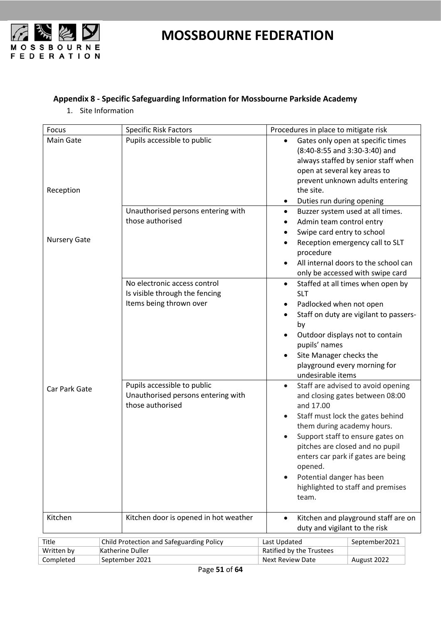

#### <span id="page-50-0"></span>**Appendix 8 - Specific Safeguarding Information for Mossbourne Parkside Academy**

1. Site Information

| Focus                         | <b>Specific Risk Factors</b>                                                              |                                       | Procedures in place to mitigate risk                                                                                      |                                                                                                                                                                                                                                                             |
|-------------------------------|-------------------------------------------------------------------------------------------|---------------------------------------|---------------------------------------------------------------------------------------------------------------------------|-------------------------------------------------------------------------------------------------------------------------------------------------------------------------------------------------------------------------------------------------------------|
| <b>Main Gate</b><br>Reception | Pupils accessible to public                                                               |                                       | open at several key areas to<br>the site.<br>Duties run during opening<br>$\bullet$                                       | Gates only open at specific times<br>(8:40-8:55 and 3:30-3:40) and<br>always staffed by senior staff when<br>prevent unknown adults entering                                                                                                                |
| <b>Nursery Gate</b>           | those authorised                                                                          | Unauthorised persons entering with    | $\bullet$<br>Admin team control entry<br>Swipe card entry to school<br>$\bullet$<br>procedure                             | Buzzer system used at all times.<br>Reception emergency call to SLT<br>All internal doors to the school can<br>only be accessed with swipe card                                                                                                             |
|                               | No electronic access control<br>Is visible through the fencing<br>Items being thrown over |                                       | $\bullet$<br><b>SLT</b><br>Padlocked when not open<br>by<br>pupils' names<br>Site Manager checks the<br>undesirable items | Staffed at all times when open by<br>Staff on duty are vigilant to passers-<br>Outdoor displays not to contain<br>playground every morning for                                                                                                              |
| Car Park Gate                 | Pupils accessible to public<br>those authorised                                           | Unauthorised persons entering with    | $\bullet$<br>and 17.00<br>them during academy hours.<br>opened.<br>Potential danger has been<br>$\bullet$<br>team.        | Staff are advised to avoid opening<br>and closing gates between 08:00<br>Staff must lock the gates behind<br>Support staff to ensure gates on<br>pitches are closed and no pupil<br>enters car park if gates are being<br>highlighted to staff and premises |
| Kitchen                       |                                                                                           | Kitchen door is opened in hot weather | $\bullet$<br>duty and vigilant to the risk                                                                                | Kitchen and playground staff are on                                                                                                                                                                                                                         |
| Title                         | Child Protection and Safeguarding Policy                                                  |                                       | Last Updated                                                                                                              | September2021                                                                                                                                                                                                                                               |
| Written by                    | Katherine Duller                                                                          |                                       | Ratified by the Trustees                                                                                                  |                                                                                                                                                                                                                                                             |
| Completed                     | September 2021                                                                            |                                       | <b>Next Review Date</b>                                                                                                   | August 2022                                                                                                                                                                                                                                                 |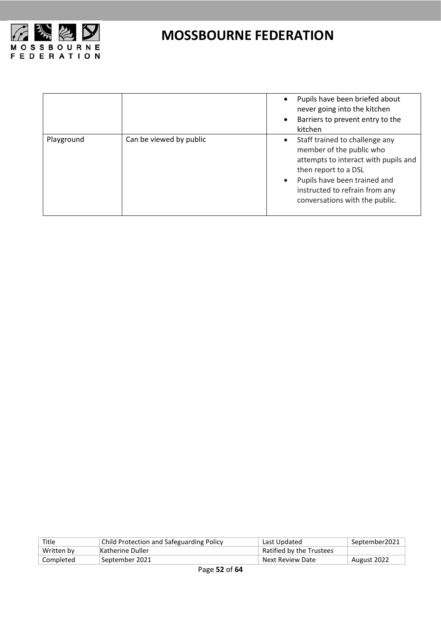

|            |                         | Pupils have been briefed about<br>never going into the kitchen<br>Barriers to prevent entry to the<br>kitchen                                                                                                                  |
|------------|-------------------------|--------------------------------------------------------------------------------------------------------------------------------------------------------------------------------------------------------------------------------|
| Playground | Can be viewed by public | Staff trained to challenge any<br>member of the public who<br>attempts to interact with pupils and<br>then report to a DSL<br>Pupils have been trained and<br>instructed to refrain from any<br>conversations with the public. |

| Title      | <b>Child Protection and Safeguarding Policy</b> | Last Updated             | September2021 |
|------------|-------------------------------------------------|--------------------------|---------------|
| Written by | Katherine Duller                                | Ratified by the Trustees |               |
| Completed  | September 2021                                  | Next Review Date         | August 2022   |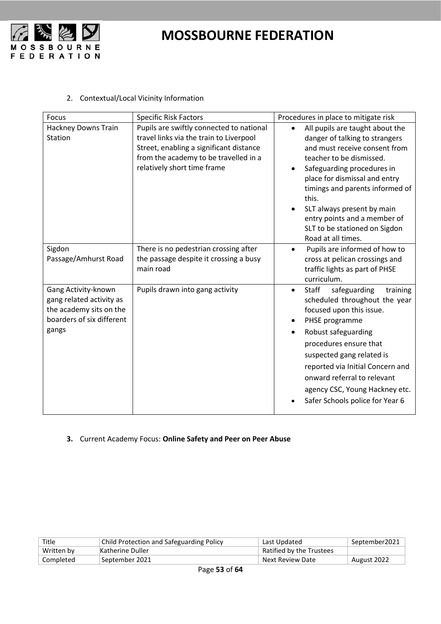

#### 2. Contextual/Local Vicinity Information

| Focus                                                                                                            | <b>Specific Risk Factors</b>                                                                                                                                                                           | Procedures in place to mitigate risk                                                                                                                                                                                                                                                                                                                           |
|------------------------------------------------------------------------------------------------------------------|--------------------------------------------------------------------------------------------------------------------------------------------------------------------------------------------------------|----------------------------------------------------------------------------------------------------------------------------------------------------------------------------------------------------------------------------------------------------------------------------------------------------------------------------------------------------------------|
| Hackney Downs Train<br>Station                                                                                   | Pupils are swiftly connected to national<br>travel links via the train to Liverpool<br>Street, enabling a significant distance<br>from the academy to be travelled in a<br>relatively short time frame | All pupils are taught about the<br>danger of talking to strangers<br>and must receive consent from<br>teacher to be dismissed.<br>Safeguarding procedures in<br>place for dismissal and entry<br>timings and parents informed of<br>this.<br>SLT always present by main<br>entry points and a member of<br>SLT to be stationed on Sigdon<br>Road at all times. |
| Sigdon<br>Passage/Amhurst Road                                                                                   | There is no pedestrian crossing after<br>the passage despite it crossing a busy<br>main road                                                                                                           | Pupils are informed of how to<br>cross at pelican crossings and<br>traffic lights as part of PHSE<br>curriculum.                                                                                                                                                                                                                                               |
| Gang Activity-known<br>gang related activity as<br>the academy sits on the<br>boarders of six different<br>gangs | Pupils drawn into gang activity                                                                                                                                                                        | <b>Staff</b><br>safeguarding<br>training<br>$\bullet$<br>scheduled throughout the year<br>focused upon this issue.<br>PHSE programme<br>Robust safeguarding<br>procedures ensure that<br>suspected gang related is<br>reported via Initial Concern and<br>onward referral to relevant<br>agency CSC, Young Hackney etc.<br>Safer Schools police for Year 6     |

#### **3.** Current Academy Focus: **Online Safety and Peer on Peer Abuse**

| Title      | <b>Child Protection and Safeguarding Policy</b> | Last Updated             | September2021 |
|------------|-------------------------------------------------|--------------------------|---------------|
| Written by | Katherine Duller                                | Ratified by the Trustees |               |
| Completed  | September 2021                                  | Next Review Date         | August 2022   |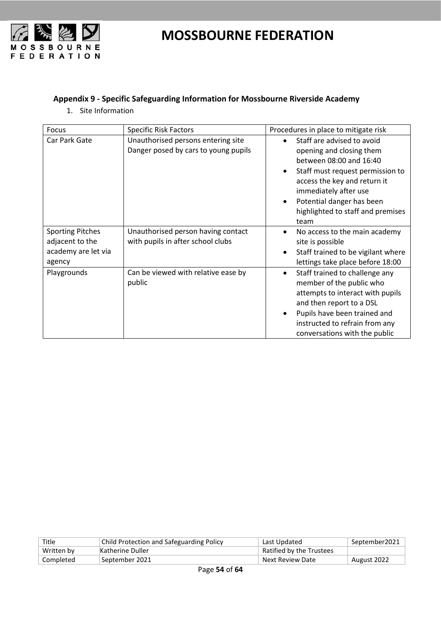

#### <span id="page-53-0"></span>**Appendix 9 - Specific Safeguarding Information for Mossbourne Riverside Academy**

1. Site Information

| <b>Focus</b>                                                                | <b>Specific Risk Factors</b>                                               | Procedures in place to mitigate risk                                                                                                                                                                                                                     |
|-----------------------------------------------------------------------------|----------------------------------------------------------------------------|----------------------------------------------------------------------------------------------------------------------------------------------------------------------------------------------------------------------------------------------------------|
| Car Park Gate                                                               | Unauthorised persons entering site<br>Danger posed by cars to young pupils | Staff are advised to avoid<br>opening and closing them<br>between 08:00 and 16:40<br>Staff must request permission to<br>access the key and return it<br>immediately after use<br>Potential danger has been<br>highlighted to staff and premises<br>team |
| <b>Sporting Pitches</b><br>adjacent to the<br>academy are let via<br>agency | Unauthorised person having contact<br>with pupils in after school clubs    | No access to the main academy<br>site is possible<br>Staff trained to be vigilant where<br>lettings take place before 18:00                                                                                                                              |
| Playgrounds                                                                 | Can be viewed with relative ease by<br>public                              | Staff trained to challenge any<br>$\bullet$<br>member of the public who<br>attempts to interact with pupils<br>and then report to a DSL<br>Pupils have been trained and<br>instructed to refrain from any<br>conversations with the public               |

| Title      | Child Protection and Safeguarding Policy | Last Updated             | September2021 |
|------------|------------------------------------------|--------------------------|---------------|
| Written by | Katherine Duller                         | Ratified by the Trustees |               |
| Completed  | September 2021                           | Next Review Date         | August 2022   |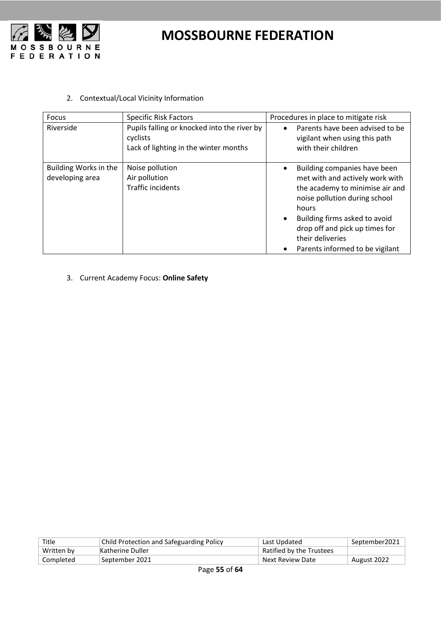

2. Contextual/Local Vicinity Information

| <b>Focus</b>                             | <b>Specific Risk Factors</b>                                                                     | Procedures in place to mitigate risk                                                                                                                                                                                                                                   |
|------------------------------------------|--------------------------------------------------------------------------------------------------|------------------------------------------------------------------------------------------------------------------------------------------------------------------------------------------------------------------------------------------------------------------------|
| Riverside                                | Pupils falling or knocked into the river by<br>cyclists<br>Lack of lighting in the winter months | Parents have been advised to be<br>vigilant when using this path<br>with their children                                                                                                                                                                                |
| Building Works in the<br>developing area | Noise pollution<br>Air pollution<br><b>Traffic incidents</b>                                     | Building companies have been<br>met with and actively work with<br>the academy to minimise air and<br>noise pollution during school<br>hours<br>Building firms asked to avoid<br>drop off and pick up times for<br>their deliveries<br>Parents informed to be vigilant |

3. Current Academy Focus: **Online Safety**

| Title      | Child Protection and Safeguarding Policy | Last Updated             | September2021 |
|------------|------------------------------------------|--------------------------|---------------|
| Written by | Katherine Duller                         | Ratified by the Trustees |               |
| Completed  | September 2021                           | Next Review Date         | August 2022   |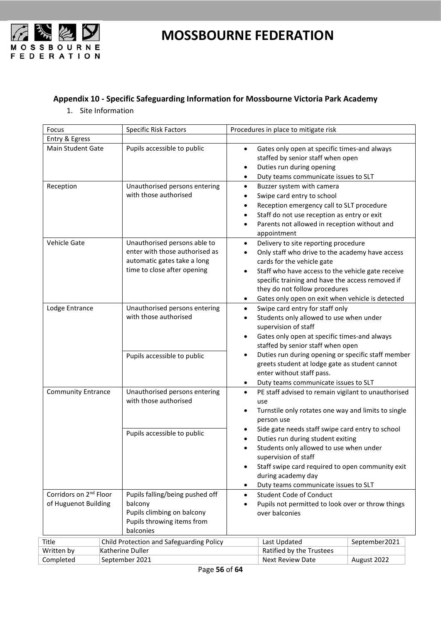

#### <span id="page-55-0"></span>**Appendix 10 - Specific Safeguarding Information for Mossbourne Victoria Park Academy**

1. Site Information

| Focus                                                      |                  | <b>Specific Risk Factors</b>                                                                                                 |                                                                                                                                                                                                                                                                                                      | Procedures in place to mitigate risk                                                                                                                                                                                                                                                                                |               |
|------------------------------------------------------------|------------------|------------------------------------------------------------------------------------------------------------------------------|------------------------------------------------------------------------------------------------------------------------------------------------------------------------------------------------------------------------------------------------------------------------------------------------------|---------------------------------------------------------------------------------------------------------------------------------------------------------------------------------------------------------------------------------------------------------------------------------------------------------------------|---------------|
| Entry & Egress                                             |                  |                                                                                                                              |                                                                                                                                                                                                                                                                                                      |                                                                                                                                                                                                                                                                                                                     |               |
| Main Student Gate                                          |                  | Pupils accessible to public                                                                                                  | $\bullet$<br>٠                                                                                                                                                                                                                                                                                       | Gates only open at specific times-and always<br>staffed by senior staff when open<br>Duties run during opening<br>Duty teams communicate issues to SLT                                                                                                                                                              |               |
| Reception                                                  |                  | Unauthorised persons entering<br>with those authorised                                                                       | $\bullet$<br>٠<br>$\bullet$<br>$\bullet$                                                                                                                                                                                                                                                             | Buzzer system with camera<br>Swipe card entry to school<br>Reception emergency call to SLT procedure<br>Staff do not use reception as entry or exit<br>Parents not allowed in reception without and<br>appointment                                                                                                  |               |
| Vehicle Gate                                               |                  | Unauthorised persons able to<br>enter with those authorised as<br>automatic gates take a long<br>time to close after opening | $\bullet$<br>$\bullet$<br>$\bullet$                                                                                                                                                                                                                                                                  | Delivery to site reporting procedure<br>Only staff who drive to the academy have access<br>cards for the vehicle gate<br>Staff who have access to the vehicle gate receive<br>specific training and have the access removed if<br>they do not follow procedures<br>Gates only open on exit when vehicle is detected |               |
| Lodge Entrance                                             |                  | Unauthorised persons entering<br>with those authorised                                                                       | $\bullet$<br>$\bullet$<br>$\bullet$                                                                                                                                                                                                                                                                  | Swipe card entry for staff only<br>Students only allowed to use when under<br>supervision of staff<br>Gates only open at specific times-and always<br>staffed by senior staff when open                                                                                                                             |               |
|                                                            |                  | Pupils accessible to public                                                                                                  | ٠                                                                                                                                                                                                                                                                                                    | Duties run during opening or specific staff member<br>greets student at lodge gate as student cannot<br>enter without staff pass.<br>Duty teams communicate issues to SLT                                                                                                                                           |               |
| <b>Community Entrance</b>                                  |                  | Unauthorised persons entering<br>with those authorised                                                                       | $\bullet$<br>$\bullet$                                                                                                                                                                                                                                                                               | PE staff advised to remain vigilant to unauthorised<br>use<br>Turnstile only rotates one way and limits to single<br>person use                                                                                                                                                                                     |               |
|                                                            |                  | Pupils accessible to public                                                                                                  | Side gate needs staff swipe card entry to school<br>Duties run during student exiting<br>Students only allowed to use when under<br>supervision of staff<br>Staff swipe card required to open community exit<br>$\bullet$<br>during academy day<br>Duty teams communicate issues to SLT<br>$\bullet$ |                                                                                                                                                                                                                                                                                                                     |               |
| Corridors on 2 <sup>nd</sup> Floor<br>of Huguenot Building | balcony          | Pupils falling/being pushed off<br>Pupils climbing on balcony<br>Pupils throwing items from<br>balconies                     | <b>Student Code of Conduct</b><br>$\bullet$<br>Pupils not permitted to look over or throw things<br>over balconies                                                                                                                                                                                   |                                                                                                                                                                                                                                                                                                                     |               |
| Title                                                      |                  | Child Protection and Safeguarding Policy                                                                                     |                                                                                                                                                                                                                                                                                                      | Last Updated                                                                                                                                                                                                                                                                                                        | September2021 |
| Written by                                                 | Katherine Duller |                                                                                                                              |                                                                                                                                                                                                                                                                                                      | Ratified by the Trustees                                                                                                                                                                                                                                                                                            |               |
| Completed                                                  | September 2021   |                                                                                                                              |                                                                                                                                                                                                                                                                                                      | <b>Next Review Date</b>                                                                                                                                                                                                                                                                                             | August 2022   |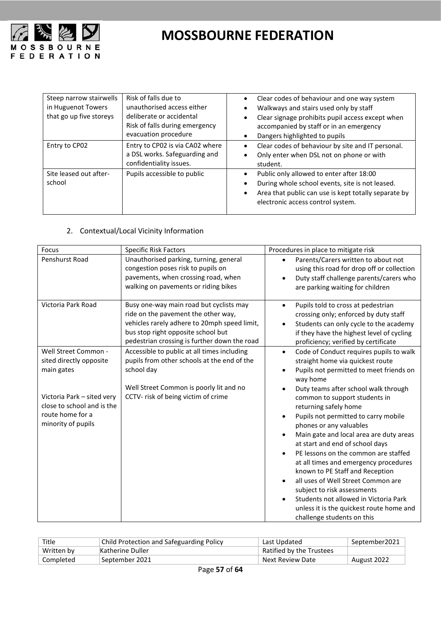

| Steep narrow stairwells<br>in Huguenot Towers<br>that go up five storeys | Risk of falls due to<br>unauthorised access either<br>deliberate or accidental<br>Risk of falls during emergency<br>evacuation procedure | Clear codes of behaviour and one way system<br>$\bullet$<br>Walkways and stairs used only by staff<br>٠<br>Clear signage prohibits pupil access except when<br>٠<br>accompanied by staff or in an emergency<br>Dangers highlighted to pupils<br>٠ |
|--------------------------------------------------------------------------|------------------------------------------------------------------------------------------------------------------------------------------|---------------------------------------------------------------------------------------------------------------------------------------------------------------------------------------------------------------------------------------------------|
| Entry to CP02                                                            | Entry to CP02 is via CA02 where<br>a DSL works. Safeguarding and<br>confidentiality issues.                                              | Clear codes of behaviour by site and IT personal.<br>Only enter when DSL not on phone or with<br>٠<br>student.                                                                                                                                    |
| Site leased out after-<br>school                                         | Pupils accessible to public                                                                                                              | Public only allowed to enter after 18:00<br>During whole school events, site is not leased.<br>Area that public can use is kept totally separate by<br>electronic access control system.                                                          |

#### 2. Contextual/Local Vicinity Information

| Focus                                                                                                                                                               | <b>Specific Risk Factors</b>                                                                                                                                                                                         | Procedures in place to mitigate risk                                                                                                                                                                                                                                                                                                                                                                                                                                                                                                                                                                                                                                                                                                                  |
|---------------------------------------------------------------------------------------------------------------------------------------------------------------------|----------------------------------------------------------------------------------------------------------------------------------------------------------------------------------------------------------------------|-------------------------------------------------------------------------------------------------------------------------------------------------------------------------------------------------------------------------------------------------------------------------------------------------------------------------------------------------------------------------------------------------------------------------------------------------------------------------------------------------------------------------------------------------------------------------------------------------------------------------------------------------------------------------------------------------------------------------------------------------------|
| Penshurst Road                                                                                                                                                      | Unauthorised parking, turning, general<br>congestion poses risk to pupils on<br>pavements, when crossing road, when<br>walking on pavements or riding bikes                                                          | Parents/Carers written to about not<br>$\bullet$<br>using this road for drop off or collection<br>Duty staff challenge parents/carers who<br>$\bullet$<br>are parking waiting for children                                                                                                                                                                                                                                                                                                                                                                                                                                                                                                                                                            |
| Victoria Park Road                                                                                                                                                  | Busy one-way main road but cyclists may<br>ride on the pavement the other way,<br>vehicles rarely adhere to 20mph speed limit,<br>bus stop right opposite school but<br>pedestrian crossing is further down the road | Pupils told to cross at pedestrian<br>$\bullet$<br>crossing only; enforced by duty staff<br>Students can only cycle to the academy<br>$\bullet$<br>if they have the highest level of cycling<br>proficiency; verified by certificate                                                                                                                                                                                                                                                                                                                                                                                                                                                                                                                  |
| Well Street Common -<br>sited directly opposite<br>main gates<br>Victoria Park - sited very<br>close to school and is the<br>route home for a<br>minority of pupils | Accessible to public at all times including<br>pupils from other schools at the end of the<br>school day<br>Well Street Common is poorly lit and no<br>CCTV- risk of being victim of crime                           | Code of Conduct requires pupils to walk<br>$\bullet$<br>straight home via quickest route<br>Pupils not permitted to meet friends on<br>way home<br>Duty teams after school walk through<br>common to support students in<br>returning safely home<br>Pupils not permitted to carry mobile<br>$\bullet$<br>phones or any valuables<br>Main gate and local area are duty areas<br>$\bullet$<br>at start and end of school days<br>PE lessons on the common are staffed<br>$\bullet$<br>at all times and emergency procedures<br>known to PE Staff and Reception<br>all uses of Well Street Common are<br>subject to risk assessments<br>Students not allowed in Victoria Park<br>unless it is the quickest route home and<br>challenge students on this |

| Title      | <b>Child Protection and Safeguarding Policy</b> | Last Updated             | September2021 |
|------------|-------------------------------------------------|--------------------------|---------------|
| Written by | Katherine Duller                                | Ratified by the Trustees |               |
| Completed  | September 2021                                  | Next Review Date         | August 2022   |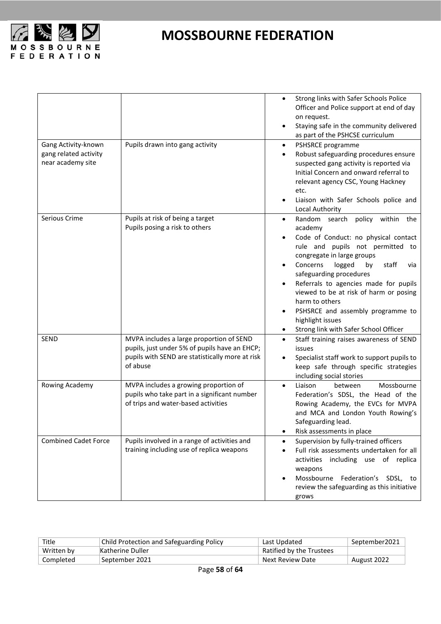

|                                                                   |                                                                                                                                                          | Strong links with Safer Schools Police<br>$\bullet$<br>Officer and Police support at end of day<br>on request.<br>Staying safe in the community delivered<br>as part of the PSHCSE curriculum                                                                                                                                                                                                                                                        |
|-------------------------------------------------------------------|----------------------------------------------------------------------------------------------------------------------------------------------------------|------------------------------------------------------------------------------------------------------------------------------------------------------------------------------------------------------------------------------------------------------------------------------------------------------------------------------------------------------------------------------------------------------------------------------------------------------|
| Gang Activity-known<br>gang related activity<br>near academy site | Pupils drawn into gang activity                                                                                                                          | PSHSRCE programme<br>$\bullet$<br>Robust safeguarding procedures ensure<br>suspected gang activity is reported via<br>Initial Concern and onward referral to<br>relevant agency CSC, Young Hackney<br>etc.<br>Liaison with Safer Schools police and<br>Local Authority                                                                                                                                                                               |
| Serious Crime                                                     | Pupils at risk of being a target<br>Pupils posing a risk to others                                                                                       | Random search policy within the<br>$\bullet$<br>academy<br>Code of Conduct: no physical contact<br>rule and pupils not permitted to<br>congregate in large groups<br>Concerns<br>staff<br>logged<br>by<br>via<br>safeguarding procedures<br>Referrals to agencies made for pupils<br>viewed to be at risk of harm or posing<br>harm to others<br>PSHSRCE and assembly programme to<br>highlight issues<br>Strong link with Safer School Officer<br>٠ |
| <b>SEND</b>                                                       | MVPA includes a large proportion of SEND<br>pupils, just under 5% of pupils have an EHCP;<br>pupils with SEND are statistically more at risk<br>of abuse | Staff training raises awareness of SEND<br>$\bullet$<br>issues<br>Specialist staff work to support pupils to<br>keep safe through specific strategies<br>including social stories                                                                                                                                                                                                                                                                    |
| Rowing Academy                                                    | MVPA includes a growing proportion of<br>pupils who take part in a significant number<br>of trips and water-based activities                             | Liaison<br>between<br>Mossbourne<br>$\bullet$<br>Federation's SDSL, the Head of the<br>Rowing Academy, the EVCs for MVPA<br>and MCA and London Youth Rowing's<br>Safeguarding lead.<br>Risk assessments in place                                                                                                                                                                                                                                     |
| <b>Combined Cadet Force</b>                                       | Pupils involved in a range of activities and<br>training including use of replica weapons                                                                | Supervision by fully-trained officers<br>$\bullet$<br>Full risk assessments undertaken for all<br>activities including use of replica<br>weapons<br>Mossbourne Federation's SDSL, to<br>review the safeguarding as this initiative<br>grows                                                                                                                                                                                                          |

| Title      | Child Protection and Safeguarding Policy | Last Updated             | September2021 |
|------------|------------------------------------------|--------------------------|---------------|
| Written by | Katherine Duller                         | Ratified by the Trustees |               |
| Completed  | September 2021                           | Next Review Date         | August 2022   |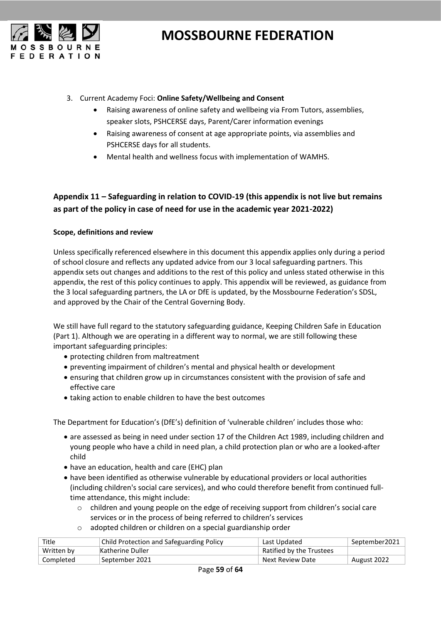

- 3. Current Academy Foci: **Online Safety/Wellbeing and Consent**
	- Raising awareness of online safety and wellbeing via From Tutors, assemblies, speaker slots, PSHCERSE days, Parent/Carer information evenings
	- Raising awareness of consent at age appropriate points, via assemblies and PSHCERSE days for all students.
	- Mental health and wellness focus with implementation of WAMHS.

#### <span id="page-58-0"></span>**Appendix 11 – Safeguarding in relation to COVID-19 (this appendix is not live but remains as part of the policy in case of need for use in the academic year 2021-2022)**

#### **Scope, definitions and review**

Unless specifically referenced elsewhere in this document this appendix applies only during a period of school closure and reflects any updated advice from our 3 local safeguarding partners. This appendix sets out changes and additions to the rest of this policy and unless stated otherwise in this appendix, the rest of this policy continues to apply. This appendix will be reviewed, as guidance from the 3 local safeguarding partners, the LA or DfE is updated, by the Mossbourne Federation's SDSL, and approved by the Chair of the Central Governing Body.

We still have full regard to the statutory safeguarding guidance, Keeping Children Safe in Education (Part 1). Although we are operating in a different way to normal, we are still following these important safeguarding principles:

- protecting children from maltreatment
- preventing impairment of children's mental and physical health or development
- ensuring that children grow up in circumstances consistent with the provision of safe and effective care
- taking action to enable children to have the best outcomes

The Department for Education's (DfE's) definition of 'vulnerable children' includes those who:

- are assessed as being in need under section 17 of the Children Act 1989, including children and young people who have a child in need plan, a child protection plan or who are a looked-after child
- have an education, health and care (EHC) plan
- have been identified as otherwise vulnerable by educational providers or local authorities (including children's social care services), and who could therefore benefit from continued fulltime attendance, this might include:
	- o children and young people on the edge of receiving support from children's social care services or in the process of being referred to children's services
	- o adopted children or children on a special guardianship order

| Title      | Child Protection and Safeguarding Policy | Last Updated             | September2021 |
|------------|------------------------------------------|--------------------------|---------------|
| Written by | Katherine Duller                         | Ratified by the Trustees |               |
| Completed  | 'September 2021                          | Next Review Date         | August 2022   |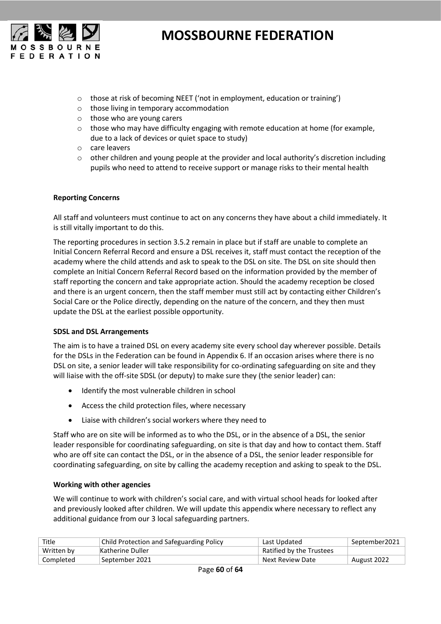

- o those at risk of becoming NEET ('not in employment, education or training')
- o those living in temporary accommodation
- o those who are young carers
- $\circ$  those who may have difficulty engaging with remote education at home (for example, due to a lack of devices or quiet space to study)
- o care leavers
- $\circ$  other children and young people at the provider and local authority's discretion including pupils who need to attend to receive support or manage risks to their mental health

#### **Reporting Concerns**

All staff and volunteers must continue to act on any concerns they have about a child immediately. It is still vitally important to do this.

The reporting procedures in section 3.5.2 remain in place but if staff are unable to complete an Initial Concern Referral Record and ensure a DSL receives it, staff must contact the reception of the academy where the child attends and ask to speak to the DSL on site. The DSL on site should then complete an Initial Concern Referral Record based on the information provided by the member of staff reporting the concern and take appropriate action. Should the academy reception be closed and there is an urgent concern, then the staff member must still act by contacting either Children's Social Care or the Police directly, depending on the nature of the concern, and they then must update the DSL at the earliest possible opportunity.

#### **SDSL and DSL Arrangements**

The aim is to have a trained DSL on every academy site every school day wherever possible. Details for the DSLs in the Federation can be found in Appendix 6. If an occasion arises where there is no DSL on site, a senior leader will take responsibility for co-ordinating safeguarding on site and they will liaise with the off-site SDSL (or deputy) to make sure they (the senior leader) can:

- Identify the most vulnerable children in school
- Access the child protection files, where necessary
- Liaise with children's social workers where they need to

Staff who are on site will be informed as to who the DSL, or in the absence of a DSL, the senior leader responsible for coordinating safeguarding, on site is that day and how to contact them. Staff who are off site can contact the DSL, or in the absence of a DSL, the senior leader responsible for coordinating safeguarding, on site by calling the academy reception and asking to speak to the DSL.

#### **Working with other agencies**

We will continue to work with children's social care, and with virtual school heads for looked after and previously looked after children. We will update this appendix where necessary to reflect any additional guidance from our 3 local safeguarding partners.

| Title      | <b>Child Protection and Safeguarding Policy</b> | Last Updated             | September2021 |
|------------|-------------------------------------------------|--------------------------|---------------|
| Written by | Katherine Duller                                | Ratified by the Trustees |               |
| Completed  | September 2021                                  | Next Review Date         | August 2022   |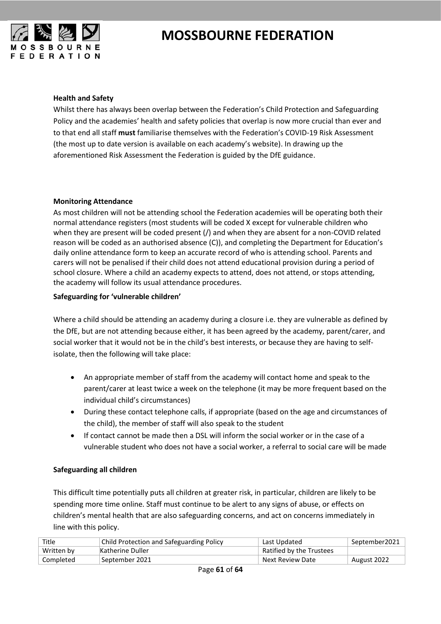

#### **Health and Safety**

Whilst there has always been overlap between the Federation's Child Protection and Safeguarding Policy and the academies' health and safety policies that overlap is now more crucial than ever and to that end all staff **must** familiarise themselves with the Federation's COVID-19 Risk Assessment (the most up to date version is available on each academy's website). In drawing up the aforementioned Risk Assessment the Federation is guided by the DfE guidance.

#### **Monitoring Attendance**

As most children will not be attending school the Federation academies will be operating both their normal attendance registers (most students will be coded X except for vulnerable children who when they are present will be coded present (/) and when they are absent for a non-COVID related reason will be coded as an authorised absence (C)), and completing the Department for Education's daily online attendance form to keep an accurate record of who is attending school. Parents and carers will not be penalised if their child does not attend educational provision during a period of school closure. Where a child an academy expects to attend, does not attend, or stops attending, the academy will follow its usual attendance procedures.

#### **Safeguarding for 'vulnerable children'**

Where a child should be attending an academy during a closure i.e. they are vulnerable as defined by the DfE, but are not attending because either, it has been agreed by the academy, parent/carer, and social worker that it would not be in the child's best interests, or because they are having to selfisolate, then the following will take place:

- An appropriate member of staff from the academy will contact home and speak to the parent/carer at least twice a week on the telephone (it may be more frequent based on the individual child's circumstances)
- During these contact telephone calls, if appropriate (based on the age and circumstances of the child), the member of staff will also speak to the student
- If contact cannot be made then a DSL will inform the social worker or in the case of a vulnerable student who does not have a social worker, a referral to social care will be made

#### **Safeguarding all children**

This difficult time potentially puts all children at greater risk, in particular, children are likely to be spending more time online. Staff must continue to be alert to any signs of abuse, or effects on children's mental health that are also safeguarding concerns, and act on concerns immediately in line with this policy.

| Title      | Child Protection and Safeguarding Policy | Last Updated             | September2021 |
|------------|------------------------------------------|--------------------------|---------------|
| Written by | Katherine Duller                         | Ratified by the Trustees |               |
| Completed  | September 2021                           | Next Review Date         | August 2022   |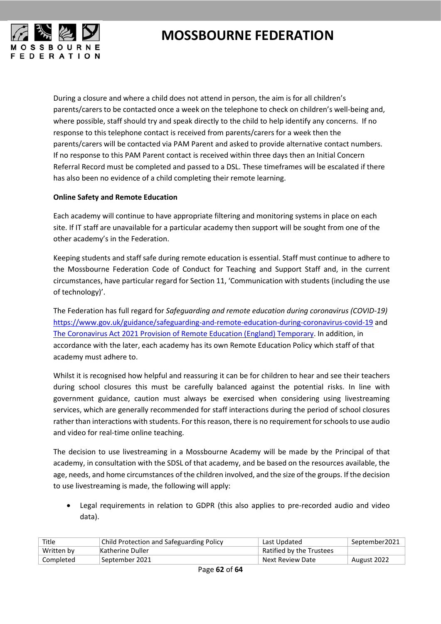

During a closure and where a child does not attend in person, the aim is for all children's parents/carers to be contacted once a week on the telephone to check on children's well-being and, where possible, staff should try and speak directly to the child to help identify any concerns. If no response to this telephone contact is received from parents/carers for a week then the parents/carers will be contacted via PAM Parent and asked to provide alternative contact numbers. If no response to this PAM Parent contact is received within three days then an Initial Concern Referral Record must be completed and passed to a DSL. These timeframes will be escalated if there has also been no evidence of a child completing their remote learning.

#### **Online Safety and Remote Education**

Each academy will continue to have appropriate filtering and monitoring systems in place on each site. If IT staff are unavailable for a particular academy then support will be sought from one of the other academy's in the Federation.

Keeping students and staff safe during remote education is essential. Staff must continue to adhere to the Mossbourne Federation Code of Conduct for Teaching and Support Staff and, in the current circumstances, have particular regard for Section 11, 'Communication with students (including the use of technology)'.

The Federation has full regard for *Safeguarding and remote education during coronavirus (COVID-19)* <https://www.gov.uk/guidance/safeguarding-and-remote-education-during-coronavirus-covid-19> and The Coronavirus Act 2021 [Provision of Remote Education \(England\) Temporary.](https://assets.publishing.service.gov.uk/government/uploads/system/uploads/attachment_data/file/923539/Remote_Education_Temporary_Continuity_Direction_-__Explanatory_Note.pdf) In addition, in accordance with the later, each academy has its own Remote Education Policy which staff of that academy must adhere to.

Whilst it is recognised how helpful and reassuring it can be for children to hear and see their teachers during school closures this must be carefully balanced against the potential risks. In line with government guidance, caution must always be exercised when considering using livestreaming services, which are generally recommended for staff interactions during the period of school closures rather than interactions with students. For this reason, there is no requirement for schools to use audio and video for real-time online teaching.

The decision to use livestreaming in a Mossbourne Academy will be made by the Principal of that academy, in consultation with the SDSL of that academy, and be based on the resources available, the age, needs, and home circumstances of the children involved, and the size of the groups. If the decision to use livestreaming is made, the following will apply:

• Legal requirements in relation to GDPR (this also applies to pre-recorded audio and video data).

| Title      | Child Protection and Safeguarding Policy | Last Updated             | September2021 |
|------------|------------------------------------------|--------------------------|---------------|
| Written by | Katherine Duller                         | Ratified by the Trustees |               |
| Completed  | September 2021                           | Next Review Date         | August 2022   |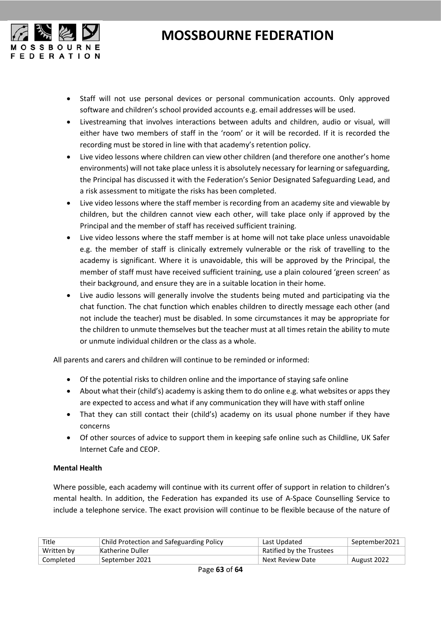

- Staff will not use personal devices or personal communication accounts. Only approved software and children's school provided accounts e.g. email addresses will be used.
- Livestreaming that involves interactions between adults and children, audio or visual, will either have two members of staff in the 'room' or it will be recorded. If it is recorded the recording must be stored in line with that academy's retention policy.
- Live video lessons where children can view other children (and therefore one another's home environments) will not take place unless it is absolutely necessary for learning or safeguarding, the Principal has discussed it with the Federation's Senior Designated Safeguarding Lead, and a risk assessment to mitigate the risks has been completed.
- Live video lessons where the staff member is recording from an academy site and viewable by children, but the children cannot view each other, will take place only if approved by the Principal and the member of staff has received sufficient training.
- Live video lessons where the staff member is at home will not take place unless unavoidable e.g. the member of staff is clinically extremely vulnerable or the risk of travelling to the academy is significant. Where it is unavoidable, this will be approved by the Principal, the member of staff must have received sufficient training, use a plain coloured 'green screen' as their background, and ensure they are in a suitable location in their home.
- Live audio lessons will generally involve the students being muted and participating via the chat function. The chat function which enables children to directly message each other (and not include the teacher) must be disabled. In some circumstances it may be appropriate for the children to unmute themselves but the teacher must at all times retain the ability to mute or unmute individual children or the class as a whole.

All parents and carers and children will continue to be reminded or informed:

- Of the potential risks to children online and the importance of staying safe online
- About what their (child's) academy is asking them to do online e.g. what websites or apps they are expected to access and what if any communication they will have with staff online
- That they can still contact their (child's) academy on its usual phone number if they have concerns
- Of other sources of advice to support them in keeping safe online such as Childline, UK Safer Internet Cafe and CEOP.

#### **Mental Health**

Where possible, each academy will continue with its current offer of support in relation to children's mental health. In addition, the Federation has expanded its use of A-Space Counselling Service to include a telephone service. The exact provision will continue to be flexible because of the nature of

| Title      | Child Protection and Safeguarding Policy | Last Updated             | September2021 |
|------------|------------------------------------------|--------------------------|---------------|
| Written by | Katherine Duller                         | Ratified by the Trustees |               |
| Completed  | September 2021                           | Next Review Date         | August 2022   |